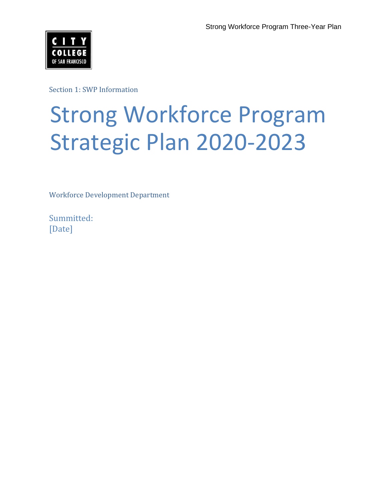

Section 1: SWP Information

# Strong Workforce Program Strategic Plan 2020-2023

Workforce Development Department

Summitted: [Date]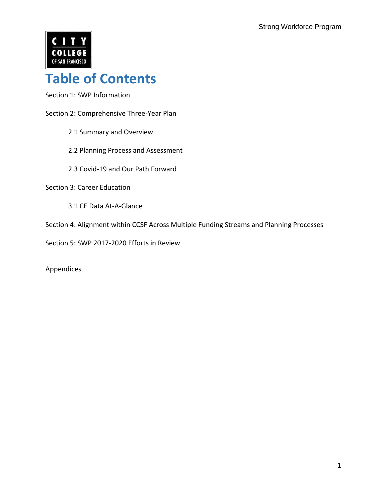

### **Table of Contents**

Section 1: SWP Information

- Section 2: Comprehensive Three-Year Plan
	- 2.1 Summary and Overview
	- 2.2 Planning Process and Assessment
	- 2.3 Covid-19 and Our Path Forward

Section 3: Career Education

3.1 CE Data At-A-Glance

Section 4: Alignment within CCSF Across Multiple Funding Streams and Planning Processes

Section 5: SWP 2017-2020 Efforts in Review

Appendices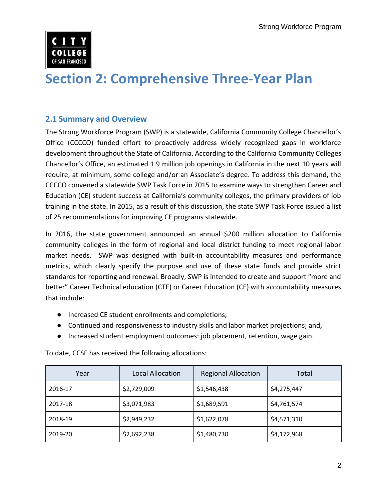

### **Section 2: Comprehensive Three-Year Plan**

### **2.1 Summary and Overview**

 Office (CCCCO) funded effort to proactively address widely recognized gaps in workforce development throughout the State of California. According to the California Community Colleges Chancellor's Office, an estimated 1.9 million job openings in California in the next 10 years will require, at minimum, some college and/or an Associate's degree. To address this demand, the CCCCO convened a statewide SWP Task Force in 2015 to examine ways to strengthen Career and Education (CE) student success at California's community colleges, the primary providers of job training in the state. In 2015, as a result of this discussion, the state SWP Task Force issued a list of 25 recommendations for improving CE programs statewide. The Strong Workforce Program (SWP) is a statewide, California Community College Chancellor's

 In 2016, the state government announced an annual \$200 million allocation to California community colleges in the form of regional and local district funding to meet regional labor market needs. SWP was designed with built-in accountability measures and performance metrics, which clearly specify the purpose and use of these state funds and provide strict standards for reporting and renewal. Broadly, SWP is intended to create and support "more and better" Career Technical education (CTE) or Career Education (CE) with accountability measures that include:

- Increased CE student enrollments and completions;
- Continued and responsiveness to industry skills and labor market projections; and,
- Increased student employment outcomes: job placement, retention, wage gain.

| Year    | Local Allocation | <b>Regional Allocation</b> | Total       |
|---------|------------------|----------------------------|-------------|
| 2016-17 | \$2,729,009      | \$1,546,438                | \$4,275,447 |
| 2017-18 | \$3,071,983      | \$1,689,591                | \$4,761,574 |
| 2018-19 | \$2,949,232      | \$1,622,078                | \$4,571,310 |
| 2019-20 | \$2,692,238      | \$1,480,730                | \$4,172,968 |

To date, CCSF has received the following allocations: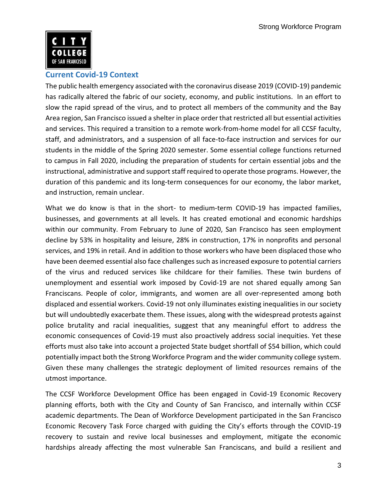

### **Current Covid-19 Context**

 The public health emergency associated with the coronavirus disease 2019 (COVID-19) pandemic has radically altered the fabric of our society, economy, and public institutions. In an effort to slow the rapid spread of the virus, and to protect all members of the community and the Bay Area region, San Francisco issued a shelter in place order that restricted all but essential activities and services. This required a transition to a remote work-from-home model for all CCSF faculty, staff, and administrators, and a suspension of all face-to-face instruction and services for our to campus in Fall 2020, including the preparation of students for certain essential jobs and the instructional, administrative and support staff required to operate those programs. However, the duration of this pandemic and its long-term consequences for our economy, the labor market, students in the middle of the Spring 2020 semester. Some essential college functions returned and instruction, remain unclear.

 What we do know is that in the short- to medium-term COVID-19 has impacted families, businesses, and governments at all levels. It has created emotional and economic hardships within our community. From February to June of 2020, San Francisco has seen employment decline by 53% in hospitality and leisure, 28% in construction, 17% in nonprofits and personal services, and 19% in retail. And in addition to those workers who have been displaced those who have been deemed essential also face challenges such as increased exposure to potential carriers of the virus and reduced services like childcare for their families. These twin burdens of unemployment and essential work imposed by Covid-19 are not shared equally among San Franciscans. People of color, immigrants, and women are all over-represented among both displaced and essential workers. Covid-19 not only illuminates existing inequalities in our society police brutality and racial inequalities, suggest that any meaningful effort to address the economic consequences of Covid-19 must also proactively address social inequities. Yet these efforts must also take into account a projected State budget shortfall of \$54 billion, which could potentially impact both the Strong Workforce Program and the wider community college system. Given these many challenges the strategic deployment of limited resources remains of the but will undoubtedly exacerbate them. These issues, along with the widespread protests against utmost importance.

 The CCSF Workforce Development Office has been engaged in Covid-19 Economic Recovery planning efforts, both with the City and County of San Francisco, and internally within CCSF academic departments. The Dean of Workforce Development participated in the San Francisco Economic Recovery Task Force charged with guiding the City's efforts through the COVID-19 recovery to sustain and revive local businesses and employment, mitigate the economic hardships already affecting the most vulnerable San Franciscans, and build a resilient and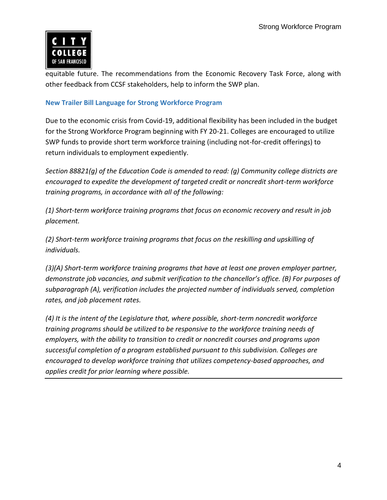

 other feedback from CCSF stakeholders, help to inform the SWP plan. equitable future. The recommendations from the Economic Recovery Task Force, along with

### **New Trailer Bill Language for Strong Workforce Program**

 Due to the economic crisis from Covid-19, additional flexibility has been included in the budget for the Strong Workforce Program beginning with FY 20-21. Colleges are encouraged to utilize SWP funds to provide short term workforce training (including not-for-credit offerings) to return individuals to employment expediently.

 *encouraged to expedite the development of targeted credit or noncredit short-term workforce training programs, in accordance with all of the following: Section 88821(g) of the Education Code is amended to read: (g) Community college districts are* 

 *(1) Short-term workforce training programs that focus on economic recovery and result in job placement.* 

 *(2) Short-term workforce training programs that focus on the reskilling and upskilling of individuals.* 

 *(3)(A) Short-term workforce training programs that have at least one proven employer partner, demonstrate job vacancies, and submit verification to the chancellor's office. (B) For purposes of subparagraph (A), verification includes the projected number of individuals served, completion rates, and job placement rates.* 

 *(4) It is the intent of the Legislature that, where possible, short-term noncredit workforce training programs should be utilized to be responsive to the workforce training needs of employers, with the ability to transition to credit or noncredit courses and programs upon successful completion of a program established pursuant to this subdivision. Colleges are encouraged to develop workforce training that utilizes competency-based approaches, and applies credit for prior learning where possible.*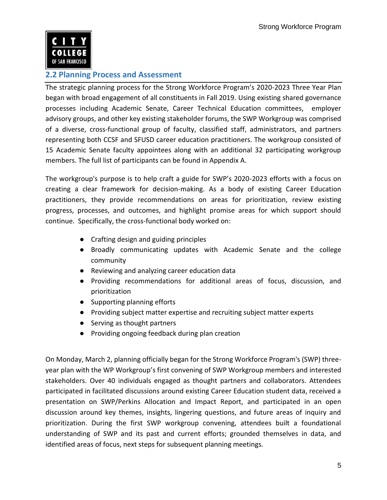

### **2.2 Planning Process and Assessment**

 The strategic planning process for the Strong Workforce Program's 2020-2023 Three Year Plan began with broad engagement of all constituents in Fall 2019. Using existing shared governance processes including Academic Senate, Career Technical Education committees, employer advisory groups, and other key existing stakeholder forums, the SWP Workgroup was comprised of a diverse, cross-functional group of faculty, classified staff, administrators, and partners representing both CCSF and SFUSD career education practitioners. The workgroup consisted of 15 Academic Senate faculty appointees along with an additional 32 participating workgroup members. The full list of participants can be found in Appendix A.

 The workgroup's purpose is to help craft a guide for SWP's 2020-2023 efforts with a focus on creating a clear framework for decision-making. As a body of existing Career Education practitioners, they provide recommendations on areas for prioritization, review existing progress, processes, and outcomes, and highlight promise areas for which support should continue. Specifically, the cross-functional body worked on:

- Crafting design and guiding principles
- Broadly communicating updates with Academic Senate and the college community
- Reviewing and analyzing career education data
- Providing recommendations for additional areas of focus, discussion, and prioritization
- Supporting planning efforts
- Providing subject matter expertise and recruiting subject matter experts
- Serving as thought partners
- Providing ongoing feedback during plan creation

 On Monday, March 2, planning officially began for the Strong Workforce Program's (SWP) three- year plan with the WP Workgroup's first convening of SWP Workgroup members and interested stakeholders. Over 40 individuals engaged as thought partners and collaborators. Attendees participated in facilitated discussions around existing Career Education student data, received a presentation on SWP/Perkins Allocation and Impact Report, and participated in an open discussion around key themes, insights, lingering questions, and future areas of inquiry and prioritization. During the first SWP workgroup convening, attendees built a foundational understanding of SWP and its past and current efforts; grounded themselves in data, and identified areas of focus, next steps for subsequent planning meetings.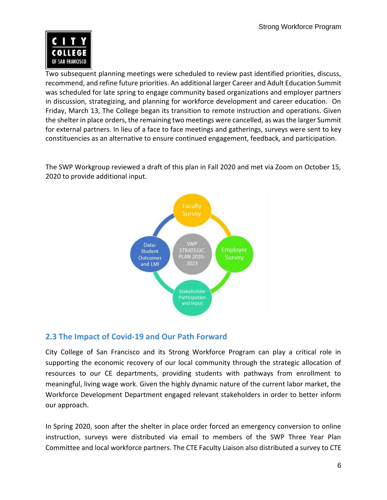

 Two subsequent planning meetings were scheduled to review past identified priorities, discuss, recommend, and refine future priorities. An additional larger Career and Adult Education Summit was scheduled for late spring to engage community based organizations and employer partners in discussion, strategizing, and planning for workforce development and career education. On Friday, March 13, The College began its transition to remote instruction and operations. Given the shelter in place orders, the remaining two meetings were cancelled, as was the larger Summit for external partners. In lieu of a face to face meetings and gatherings, surveys were sent to key constituencies as an alternative to ensure continued engagement, feedback, and participation.

 The SWP Workgroup reviewed a draft of this plan in Fall 2020 and met via Zoom on October 15, 2020 to provide additional input.



### **2.3 The Impact of Covid-19 and Our Path Forward**

 City College of San Francisco and its Strong Workforce Program can play a critical role in supporting the economic recovery of our local community through the strategic allocation of resources to our CE departments, providing students with pathways from enrollment to meaningful, living wage work. Given the highly dynamic nature of the current labor market, the Workforce Development Department engaged relevant stakeholders in order to better inform our approach.

 In Spring 2020, soon after the shelter in place order forced an emergency conversion to online instruction, surveys were distributed via email to members of the SWP Three Year Plan Committee and local workforce partners. The CTE Faculty Liaison also distributed a survey to CTE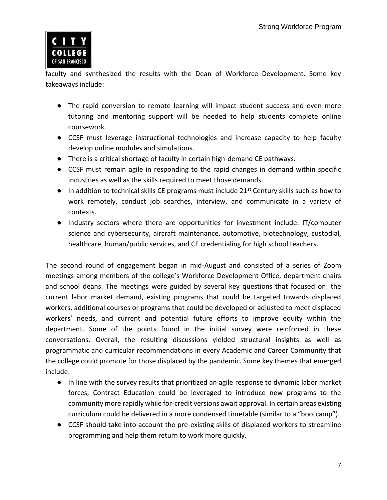

 faculty and synthesized the results with the Dean of Workforce Development. Some key takeaways include:

- The rapid conversion to remote learning will impact student success and even more tutoring and mentoring support will be needed to help students complete online coursework.
- CCSF must leverage instructional technologies and increase capacity to help faculty develop online modules and simulations.
- There is a critical shortage of faculty in certain high-demand CE pathways.
- CCSF must remain agile in responding to the rapid changes in demand within specific industries as well as the skills required to meet those demands.
- In addition to technical skills CE programs must include 21<sup>st</sup> Century skills such as how to work remotely, conduct job searches, interview, and communicate in a variety of contexts.
- Industry sectors where there are opportunities for investment include: IT/computer healthcare, human/public services, and CE credentialing for high school teachers. science and cybersecurity, aircraft maintenance, automotive, biotechnology, custodial,

 The second round of engagement began in mid-August and consisted of a series of Zoom meetings among members of the college's Workforce Development Office, department chairs and school deans. The meetings were guided by several key questions that focused on: the current labor market demand, existing programs that could be targeted towards displaced workers, additional courses or programs that could be developed or adjusted to meet displaced workers' needs, and current and potential future efforts to improve equity within the department. Some of the points found in the initial survey were reinforced in these conversations. Overall, the resulting discussions yielded structural insights as well as programmatic and curricular recommendations in every Academic and Career Community that the college could promote for those displaced by the pandemic. Some key themes that emerged include:

- In line with the survey results that prioritized an agile response to dynamic labor market forces, Contract Education could be leveraged to introduce new programs to the community more rapidly while for-credit versions await approval. In certain areas existing curriculum could be delivered in a more condensed timetable (similar to a "bootcamp").
- CCSF should take into account the pre-existing skills of displaced workers to streamline programming and help them return to work more quickly.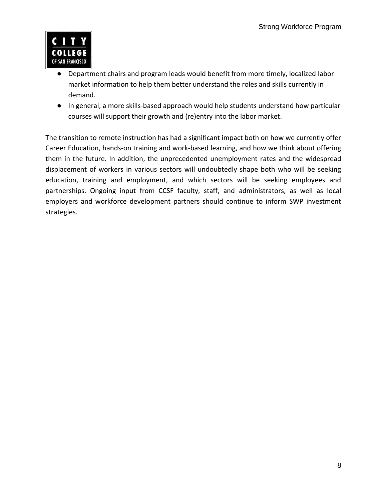

- Department chairs and program leads would benefit from more timely, localized labor market information to help them better understand the roles and skills currently in demand.
- In general, a more skills-based approach would help students understand how particular courses will support their growth and (re)entry into the labor market.

 The transition to remote instruction has had a significant impact both on how we currently offer Career Education, hands-on training and work-based learning, and how we think about offering them in the future. In addition, the unprecedented unemployment rates and the widespread displacement of workers in various sectors will undoubtedly shape both who will be seeking education, training and employment, and which sectors will be seeking employees and partnerships. Ongoing input from CCSF faculty, staff, and administrators, as well as local employers and workforce development partners should continue to inform SWP investment strategies.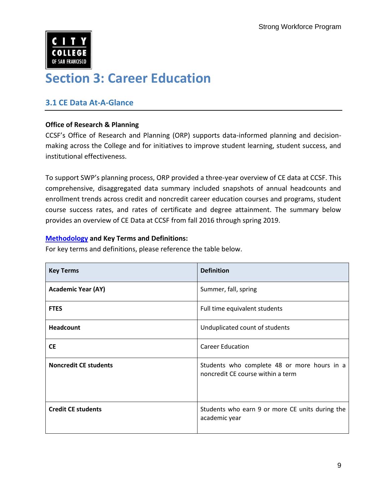

### **Section 3: Career Education**

### **3.1 CE Data At-A-Glance**

### **Office of Research & Planning**

CCSF's Office of Research and Planning (ORP) supports data-informed planning and decisionmaking across the College and for initiatives to improve student learning, student success, and institutional effectiveness.

 To support SWP's planning process, ORP provided a three-year overview of CE data at CCSF. This comprehensive, disaggregated data summary included snapshots of annual headcounts and enrollment trends across credit and noncredit career education courses and programs, student course success rates, and rates of certificate and degree attainment. The summary below provides an overview of CE Data at CCSF from fall 2016 through spring 2019.

### **[Methodology](https://archive.ccsf.edu/dam/Organizational_Assets/Department/Research_Planning_Grants/Reports/CTE/CTE_Numbers_v20200302.pdf) and Key Terms and Definitions:**

For key terms and definitions, please reference the table below.

| <b>Key Terms</b>             | <b>Definition</b>                                                                |  |
|------------------------------|----------------------------------------------------------------------------------|--|
| <b>Academic Year (AY)</b>    | Summer, fall, spring                                                             |  |
| <b>FTES</b>                  | Full time equivalent students                                                    |  |
| <b>Headcount</b>             | Unduplicated count of students                                                   |  |
| <b>CE</b>                    | <b>Career Education</b>                                                          |  |
| <b>Noncredit CE students</b> | Students who complete 48 or more hours in a<br>noncredit CE course within a term |  |
| <b>Credit CE students</b>    | Students who earn 9 or more CE units during the<br>academic year                 |  |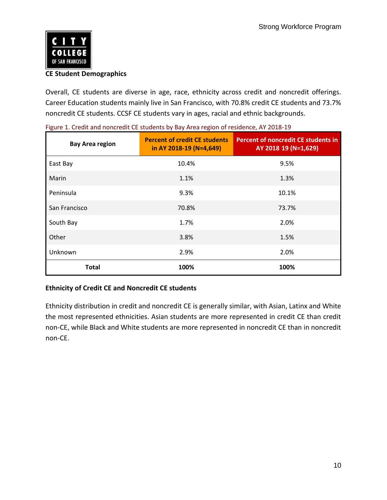

### **CE Student Demographics**

 Overall, CE students are diverse in age, race, ethnicity across credit and noncredit offerings. Career Education students mainly live in San Francisco, with 70.8% credit CE students and 73.7% noncredit CE students. CCSF CE students vary in ages, racial and ethnic backgrounds.

| <b>Bay Area region</b> | <b>Percent of credit CE students</b><br>in AY 2018-19 (N=4,649) | <b>Percent of noncredit CE students in</b><br>AY 2018 19 (N=1,629) |
|------------------------|-----------------------------------------------------------------|--------------------------------------------------------------------|
| East Bay               | 10.4%                                                           | 9.5%                                                               |
| Marin                  | 1.1%                                                            | 1.3%                                                               |
| Peninsula              | 9.3%                                                            | 10.1%                                                              |
| San Francisco          | 70.8%                                                           | 73.7%                                                              |
| South Bay              | 1.7%                                                            | 2.0%                                                               |
| Other                  | 3.8%                                                            | 1.5%                                                               |
| Unknown                | 2.9%                                                            | 2.0%                                                               |
| <b>Total</b>           | 100%                                                            | 100%                                                               |

|  |  |  | Figure 1. Credit and noncredit CE students by Bay Area region of residence, AY 2018-19 |  |
|--|--|--|----------------------------------------------------------------------------------------|--|
|  |  |  |                                                                                        |  |

### **Ethnicity of Credit CE and Noncredit CE students**

 Ethnicity distribution in credit and noncredit CE is generally similar, with Asian, Latinx and White the most represented ethnicities. Asian students are more represented in credit CE than credit non-CE, while Black and White students are more represented in noncredit CE than in noncredit non-CE.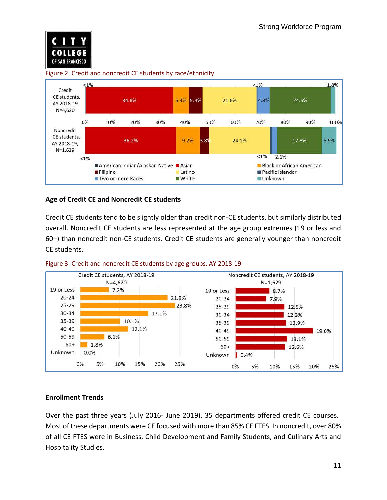

### Figure 2. Credit and noncredit CE students by race/ethnicity



### **Age of Credit CE and Noncredit CE students**

 Credit CE students tend to be slightly older than credit non-CE students, but similarly distributed overall. Noncredit CE students are less represented at the age group extremes (19 or less and 60+) than noncredit non-CE students. Credit CE students are generally younger than noncredit CE students.





### **Enrollment Trends**

 Over the past three years (July 2016- June 2019), 35 departments offered credit CE courses. Most of these departments were CE focused with more than 85% CE FTES. In noncredit, over 80% of all CE FTES were in Business, Child Development and Family Students, and Culinary Arts and Hospitality Studies.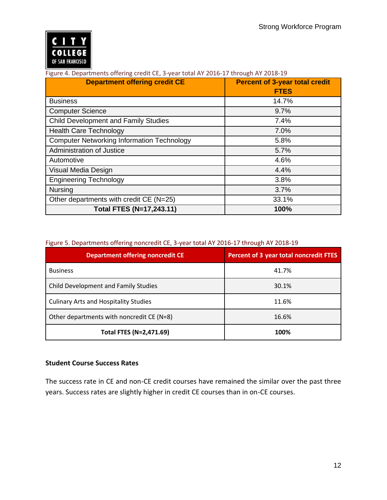

#### Figure 4. Departments offering credit CE, 3-year total AY 2016-17 through AY 2018-19

| <b>Department offering credit CE</b>              | <b>Percent of 3-year total credit</b> |  |
|---------------------------------------------------|---------------------------------------|--|
|                                                   | <b>FTES</b>                           |  |
| <b>Business</b>                                   | 14.7%                                 |  |
| <b>Computer Science</b>                           | 9.7%                                  |  |
| <b>Child Development and Family Studies</b>       | 7.4%                                  |  |
| <b>Health Care Technology</b>                     | 7.0%                                  |  |
| <b>Computer Networking Information Technology</b> | 5.8%                                  |  |
| Administration of Justice                         | 5.7%                                  |  |
| Automotive                                        | 4.6%                                  |  |
| Visual Media Design                               | 4.4%                                  |  |
| <b>Engineering Technology</b>                     | 3.8%                                  |  |
| <b>Nursing</b>                                    | 3.7%                                  |  |
| Other departments with credit CE (N=25)           | 33.1%                                 |  |
| Total FTES (N=17,243.11)                          | 100%                                  |  |

#### Figure 5. Departments offering noncredit CE, 3-year total AY 2016-17 through AY 2018-19

| <b>Department offering noncredit CE</b>      | Percent of 3 year total noncredit FTES |  |
|----------------------------------------------|----------------------------------------|--|
| <b>Business</b>                              | 41.7%                                  |  |
| Child Development and Family Studies         | 30.1%                                  |  |
| <b>Culinary Arts and Hospitality Studies</b> | 11.6%                                  |  |
| Other departments with noncredit CE (N=8)    | 16.6%                                  |  |
| Total FTES (N=2,471.69)                      | 100%                                   |  |

### **Student Course Success Rates**

 The success rate in CE and non-CE credit courses have remained the similar over the past three years. Success rates are slightly higher in credit CE courses than in on-CE courses.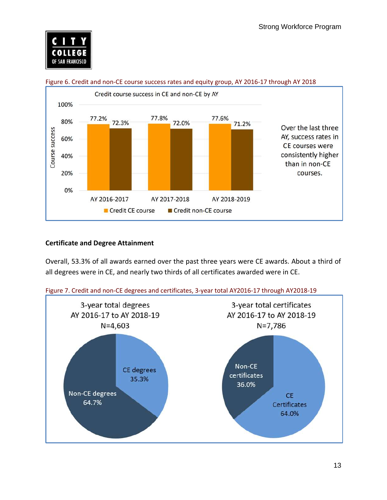



#### Figure 6. Credit and non-CE course success rates and equity group, AY 2016-17 through AY 2018

### **Certificate and Degree Attainment**

 Overall, 53.3% of all awards earned over the past three years were CE awards. About a third of all degrees were in CE, and nearly two thirds of all certificates awarded were in CE.



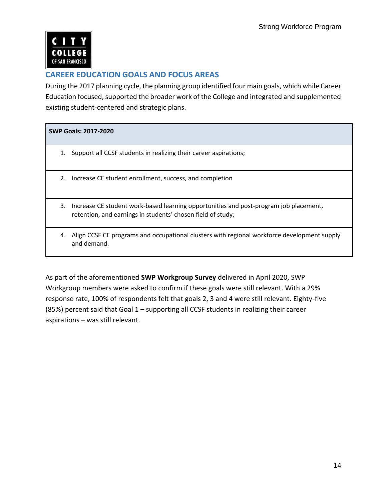

### **CAREER EDUCATION GOALS AND FOCUS AREAS**

 During the 2017 planning cycle, the planning group identified four main goals, which while Career Education focused, supported the broader work of the College and integrated and supplemented existing student-centered and strategic plans.

### **SWP Goals: 2017-2020**

- 1. Support all CCSF students in realizing their career aspirations;
- 2. Increase CE student enrollment, success, and completion
- 3. Increase CE student work-based learning opportunities and post-program job placement, retention, and earnings in students' chosen field of study;
- 4. Align CCSF CE programs and occupational clusters with regional workforce development supply and demand.

 As part of the aforementioned **SWP Workgroup Survey** delivered in April 2020, SWP Workgroup members were asked to confirm if these goals were still relevant. With a 29% response rate, 100% of respondents felt that goals 2, 3 and 4 were still relevant. Eighty-five (85%) percent said that Goal 1 – supporting all CCSF students in realizing their career aspirations – was still relevant.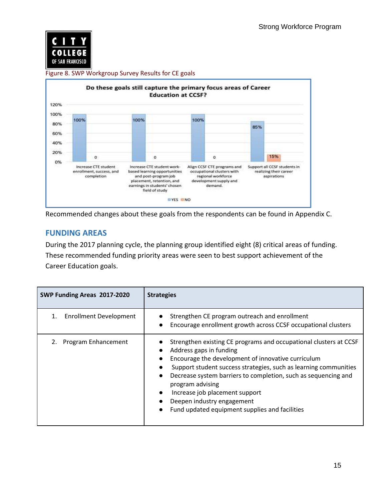

#### Figure 8. SWP Workgroup Survey Results for CE goals



Recommended changes about these goals from the respondents can be found in Appendix C.

### **FUNDING AREAS**

 During the 2017 planning cycle, the planning group identified eight (8) critical areas of funding. These recommended funding priority areas were seen to best support achievement of the Career Education goals.

| SWP Funding Areas 2017-2020   | <b>Strategies</b>                                                                                                                                                                                                                                                                                                                                                                                                              |  |  |
|-------------------------------|--------------------------------------------------------------------------------------------------------------------------------------------------------------------------------------------------------------------------------------------------------------------------------------------------------------------------------------------------------------------------------------------------------------------------------|--|--|
| <b>Enrollment Development</b> | Strengthen CE program outreach and enrollment<br>Encourage enrollment growth across CCSF occupational clusters                                                                                                                                                                                                                                                                                                                 |  |  |
| 2. Program Enhancement        | Strengthen existing CE programs and occupational clusters at CCSF<br>Address gaps in funding<br>Encourage the development of innovative curriculum<br>Support student success strategies, such as learning communities<br>Decrease system barriers to completion, such as sequencing and<br>program advising<br>Increase job placement support<br>Deepen industry engagement<br>Fund updated equipment supplies and facilities |  |  |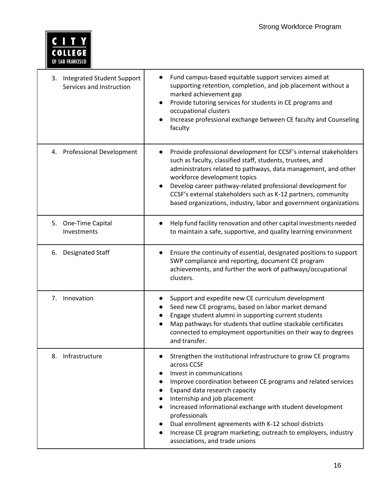

| <b>Integrated Student Support</b><br>3.<br>Services and Instruction | Fund campus-based equitable support services aimed at<br>supporting retention, completion, and job placement without a<br>marked achievement gap<br>Provide tutoring services for students in CE programs and<br>occupational clusters<br>Increase professional exchange between CE faculty and Counseling<br>faculty                                                                                                                                                                                             |
|---------------------------------------------------------------------|-------------------------------------------------------------------------------------------------------------------------------------------------------------------------------------------------------------------------------------------------------------------------------------------------------------------------------------------------------------------------------------------------------------------------------------------------------------------------------------------------------------------|
| 4. Professional Development                                         | Provide professional development for CCSF's internal stakeholders<br>such as faculty, classified staff, students, trustees, and<br>administrators related to pathways, data management, and other<br>workforce development topics<br>Develop career pathway-related professional development for<br>CCSF's external stakeholders such as K-12 partners, community<br>based organizations, industry, labor and government organizations                                                                            |
| 5. One-Time Capital<br>Investments                                  | Help fund facility renovation and other capital investments needed<br>to maintain a safe, supportive, and quality learning environment                                                                                                                                                                                                                                                                                                                                                                            |
| 6. Designated Staff                                                 | Ensure the continuity of essential, designated positions to support<br>SWP compliance and reporting, document CE program<br>achievements, and further the work of pathways/occupational<br>clusters.                                                                                                                                                                                                                                                                                                              |
| 7 <sub>1</sub><br>Innovation                                        | Support and expedite new CE curriculum development<br>Seed new CE programs, based on labor market demand<br>Engage student alumni in supporting current students<br>Map pathways for students that outline stackable certificates<br>connected to employment opportunities on their way to degrees<br>and transfer.                                                                                                                                                                                               |
| Infrastructure<br>8.                                                | Strengthen the institutional infrastructure to grow CE programs<br>across CCSF<br>Invest in communications<br>Improve coordination between CE programs and related services<br>Expand data research capacity<br>$\bullet$<br>Internship and job placement<br>Increased informational exchange with student development<br>professionals<br>Dual enrollment agreements with K-12 school districts<br>Increase CE program marketing; outreach to employers, industry<br>$\bullet$<br>associations, and trade unions |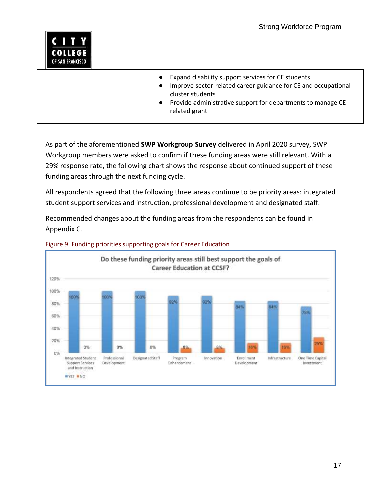

 As part of the aforementioned **SWP Workgroup Survey** delivered in April 2020 survey, SWP Workgroup members were asked to confirm if these funding areas were still relevant. With a 29% response rate, the following chart shows the response about continued support of these funding areas through the next funding cycle.

 All respondents agreed that the following three areas continue to be priority areas: integrated student support services and instruction, professional development and designated staff.

 Recommended changes about the funding areas from the respondents can be found in Appendix C.



#### Figure 9. Funding priorities supporting goals for Career Education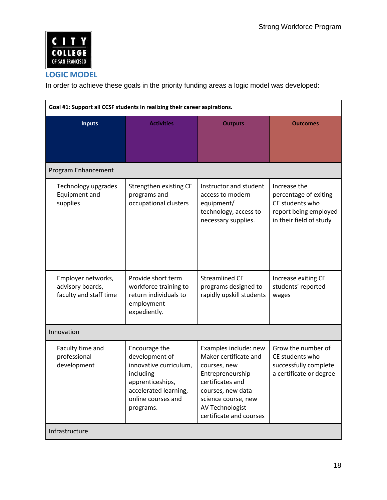

### **LOGIC MODEL**

In order to achieve these goals in the priority funding areas a logic model was developed:

| Goal #1: Support all CCSF students in realizing their career aspirations. |                                                                                                                                                        |                                                                                                                                                                                                  |                                                                                                              |  |
|---------------------------------------------------------------------------|--------------------------------------------------------------------------------------------------------------------------------------------------------|--------------------------------------------------------------------------------------------------------------------------------------------------------------------------------------------------|--------------------------------------------------------------------------------------------------------------|--|
| <b>Inputs</b>                                                             | <b>Activities</b>                                                                                                                                      | <b>Outputs</b>                                                                                                                                                                                   | <b>Outcomes</b>                                                                                              |  |
| Program Enhancement                                                       |                                                                                                                                                        |                                                                                                                                                                                                  |                                                                                                              |  |
| Technology upgrades<br>Equipment and<br>supplies                          | Strengthen existing CE<br>programs and<br>occupational clusters                                                                                        | Instructor and student<br>access to modern<br>equipment/<br>technology, access to<br>necessary supplies.                                                                                         | Increase the<br>percentage of exiting<br>CE students who<br>report being employed<br>in their field of study |  |
| Employer networks,<br>advisory boards,<br>faculty and staff time          | Provide short term<br>workforce training to<br>return individuals to<br>employment<br>expediently.                                                     | <b>Streamlined CE</b><br>programs designed to<br>rapidly upskill students                                                                                                                        | Increase exiting CE<br>students' reported<br>wages                                                           |  |
| Innovation                                                                |                                                                                                                                                        |                                                                                                                                                                                                  |                                                                                                              |  |
| Faculty time and<br>professional<br>development                           | Encourage the<br>development of<br>innovative curriculum,<br>including<br>apprenticeships,<br>accelerated learning,<br>online courses and<br>programs. | Examples include: new<br>Maker certificate and<br>courses, new<br>Entrepreneurship<br>certificates and<br>courses, new data<br>science course, new<br>AV Technologist<br>certificate and courses | Grow the number of<br>CE students who<br>successfully complete<br>a certificate or degree                    |  |
| Infrastructure                                                            |                                                                                                                                                        |                                                                                                                                                                                                  |                                                                                                              |  |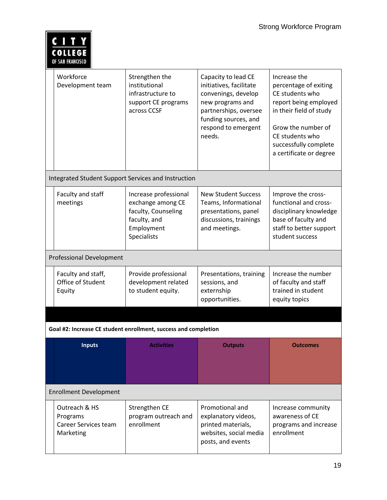| <b>COLLEGE</b><br>OF SAN FRANCISCO                             |                                                                                                                |                                                                                                                                                                             |                                                                                                                                                                                                           |  |  |  |
|----------------------------------------------------------------|----------------------------------------------------------------------------------------------------------------|-----------------------------------------------------------------------------------------------------------------------------------------------------------------------------|-----------------------------------------------------------------------------------------------------------------------------------------------------------------------------------------------------------|--|--|--|
| Workforce<br>Development team                                  | Strengthen the<br>institutional<br>infrastructure to<br>support CE programs<br>across CCSF                     | Capacity to lead CE<br>initiatives, facilitate<br>convenings, develop<br>new programs and<br>partnerships, oversee<br>funding sources, and<br>respond to emergent<br>needs. | Increase the<br>percentage of exiting<br>CE students who<br>report being employed<br>in their field of study<br>Grow the number of<br>CE students who<br>successfully complete<br>a certificate or degree |  |  |  |
|                                                                | Integrated Student Support Services and Instruction                                                            |                                                                                                                                                                             |                                                                                                                                                                                                           |  |  |  |
| Faculty and staff<br>meetings                                  | Increase professional<br>exchange among CE<br>faculty, Counseling<br>faculty, and<br>Employment<br>Specialists | <b>New Student Success</b><br>Teams, Informational<br>presentations, panel<br>discussions, trainings<br>and meetings.                                                       | Improve the cross-<br>functional and cross-<br>disciplinary knowledge<br>base of faculty and<br>staff to better support<br>student success                                                                |  |  |  |
| <b>Professional Development</b>                                |                                                                                                                |                                                                                                                                                                             |                                                                                                                                                                                                           |  |  |  |
| Faculty and staff,<br>Office of Student<br>Equity              | Provide professional<br>development related<br>to student equity.                                              | Presentations, training<br>sessions, and<br>externship<br>opportunities.                                                                                                    | Increase the number<br>of faculty and staff<br>trained in student<br>equity topics                                                                                                                        |  |  |  |
|                                                                |                                                                                                                |                                                                                                                                                                             |                                                                                                                                                                                                           |  |  |  |
|                                                                | Goal #2: Increase CE student enrollment, success and completion                                                |                                                                                                                                                                             |                                                                                                                                                                                                           |  |  |  |
| <b>Inputs</b>                                                  | <b>Activities</b>                                                                                              | <b>Outputs</b>                                                                                                                                                              | <b>Outcomes</b>                                                                                                                                                                                           |  |  |  |
| <b>Enrollment Development</b>                                  |                                                                                                                |                                                                                                                                                                             |                                                                                                                                                                                                           |  |  |  |
| Outreach & HS<br>Programs<br>Career Services team<br>Marketing | Strengthen CE<br>program outreach and<br>enrollment                                                            | Promotional and<br>explanatory videos,<br>printed materials,<br>websites, social media<br>posts, and events                                                                 | Increase community<br>awareness of CE<br>programs and increase<br>enrollment                                                                                                                              |  |  |  |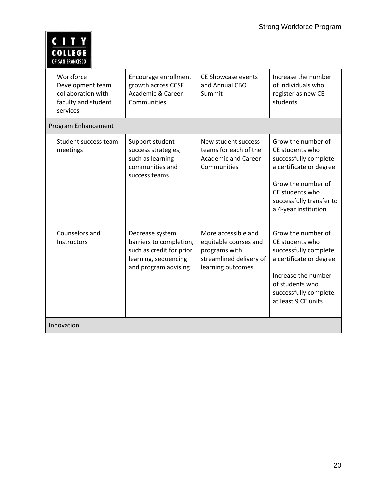| COLLEGE          |
|------------------|
| OF SAN FRANCISCO |

|            | Workforce<br>Development team<br>collaboration with<br>faculty and student<br>services | Encourage enrollment<br>growth across CCSF<br><b>Academic &amp; Career</b><br>Communities                              | <b>CE Showcase events</b><br>and Annual CBO<br>Summit                                                         | Increase the number<br>of individuals who<br>register as new CE<br>students                                                                                                            |  |
|------------|----------------------------------------------------------------------------------------|------------------------------------------------------------------------------------------------------------------------|---------------------------------------------------------------------------------------------------------------|----------------------------------------------------------------------------------------------------------------------------------------------------------------------------------------|--|
|            | Program Enhancement                                                                    |                                                                                                                        |                                                                                                               |                                                                                                                                                                                        |  |
|            | Student success team<br>meetings                                                       | Support student<br>success strategies,<br>such as learning<br>communities and<br>success teams                         | New student success<br>teams for each of the<br><b>Academic and Career</b><br>Communities                     | Grow the number of<br>CE students who<br>successfully complete<br>a certificate or degree<br>Grow the number of<br>CE students who<br>successfully transfer to<br>a 4-year institution |  |
|            | Counselors and<br>Instructors                                                          | Decrease system<br>barriers to completion,<br>such as credit for prior<br>learning, sequencing<br>and program advising | More accessible and<br>equitable courses and<br>programs with<br>streamlined delivery of<br>learning outcomes | Grow the number of<br>CE students who<br>successfully complete<br>a certificate or degree<br>Increase the number<br>of students who<br>successfully complete<br>at least 9 CE units    |  |
| Innovation |                                                                                        |                                                                                                                        |                                                                                                               |                                                                                                                                                                                        |  |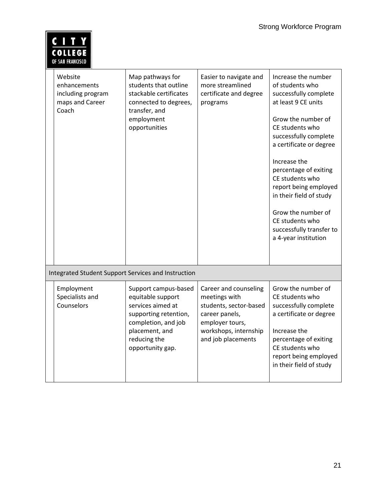| <b>COLLEGE</b><br>OF SAN FRANCISCO                                       |                                                                                                                                              |                                                                                  |                                                                                                                                                                                                                                                                                                                                                                                                  |  |  |
|--------------------------------------------------------------------------|----------------------------------------------------------------------------------------------------------------------------------------------|----------------------------------------------------------------------------------|--------------------------------------------------------------------------------------------------------------------------------------------------------------------------------------------------------------------------------------------------------------------------------------------------------------------------------------------------------------------------------------------------|--|--|
| Website<br>enhancements<br>including program<br>maps and Career<br>Coach | Map pathways for<br>students that outline<br>stackable certificates<br>connected to degrees,<br>transfer, and<br>employment<br>opportunities | Easier to navigate and<br>more streamlined<br>certificate and degree<br>programs | Increase the number<br>of students who<br>successfully complete<br>at least 9 CE units<br>Grow the number of<br>CE students who<br>successfully complete<br>a certificate or degree<br>Increase the<br>percentage of exiting<br>CE students who<br>report being employed<br>in their field of study<br>Grow the number of<br>CE students who<br>successfully transfer to<br>a 4-year institution |  |  |
| <b>Integrated Student Support Services and Instruction</b>               |                                                                                                                                              |                                                                                  |                                                                                                                                                                                                                                                                                                                                                                                                  |  |  |
| Employment<br>Specialists and                                            | Support campus-based<br>equitable support                                                                                                    | Career and counseling<br>meetings with                                           | Grow the number of<br>CE students who                                                                                                                                                                                                                                                                                                                                                            |  |  |

supporting retention, completion, and job placement, and reducing the opportunity gap.

students, sector-based

career panels, employer tours, workshops, internship and job placements

Counselors services aimed at

successfully complete a certificate or degree

percentage of exiting CE students who

report being employed in their field of study

Increase the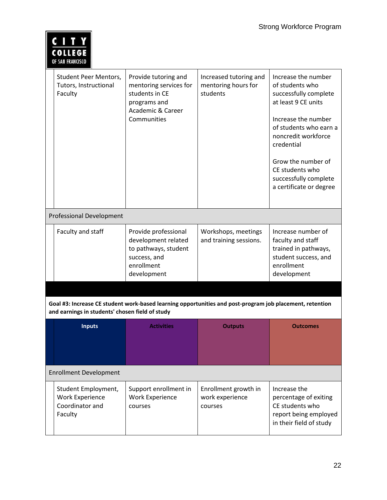| <b>COLLEGE</b><br>OF SAN FRANCISCO                                                                                                                          |                                                                                                                                 |                                                           |                                                                                                                                                                                                                                                                           |  |  |
|-------------------------------------------------------------------------------------------------------------------------------------------------------------|---------------------------------------------------------------------------------------------------------------------------------|-----------------------------------------------------------|---------------------------------------------------------------------------------------------------------------------------------------------------------------------------------------------------------------------------------------------------------------------------|--|--|
| Student Peer Mentors,<br>Tutors, Instructional<br>Faculty                                                                                                   | Provide tutoring and<br>mentoring services for<br>students in CE<br>programs and<br><b>Academic &amp; Career</b><br>Communities | Increased tutoring and<br>mentoring hours for<br>students | Increase the number<br>of students who<br>successfully complete<br>at least 9 CE units<br>Increase the number<br>of students who earn a<br>noncredit workforce<br>credential<br>Grow the number of<br>CE students who<br>successfully complete<br>a certificate or degree |  |  |
| <b>Professional Development</b>                                                                                                                             |                                                                                                                                 |                                                           |                                                                                                                                                                                                                                                                           |  |  |
| Faculty and staff                                                                                                                                           | Provide professional<br>development related<br>to pathways, student<br>success, and<br>enrollment<br>development                | Workshops, meetings<br>and training sessions.             | Increase number of<br>faculty and staff<br>trained in pathways,<br>student success, and<br>enrollment<br>development                                                                                                                                                      |  |  |
|                                                                                                                                                             |                                                                                                                                 |                                                           |                                                                                                                                                                                                                                                                           |  |  |
| Goal #3: Increase CE student work-based learning opportunities and post-program job placement, retention<br>and earnings in students' chosen field of study |                                                                                                                                 |                                                           |                                                                                                                                                                                                                                                                           |  |  |
| <b>Inputs</b>                                                                                                                                               | <b>Activities</b>                                                                                                               | <b>Outputs</b>                                            | <b>Outcomes</b>                                                                                                                                                                                                                                                           |  |  |
| <b>Enrollment Development</b>                                                                                                                               |                                                                                                                                 |                                                           |                                                                                                                                                                                                                                                                           |  |  |
| Student Employment,<br><b>Work Experience</b><br>Coordinator and<br>Faculty                                                                                 | Support enrollment in<br><b>Work Experience</b><br>courses                                                                      | Enrollment growth in<br>work experience<br>courses        | Increase the<br>percentage of exiting<br>CE students who<br>report being employed<br>in their field of study                                                                                                                                                              |  |  |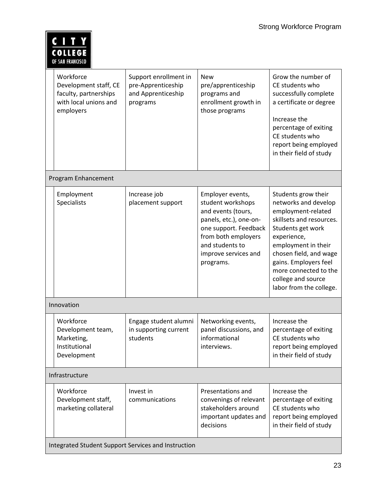| <b>COLLEGE</b><br>OF SAN FRANCISCO                                                                |                                                                               |                                                                                                                                                                                               |                                                                                                                                                                                                                                                                                       |  |
|---------------------------------------------------------------------------------------------------|-------------------------------------------------------------------------------|-----------------------------------------------------------------------------------------------------------------------------------------------------------------------------------------------|---------------------------------------------------------------------------------------------------------------------------------------------------------------------------------------------------------------------------------------------------------------------------------------|--|
| Workforce<br>Development staff, CE<br>faculty, partnerships<br>with local unions and<br>employers | Support enrollment in<br>pre-Apprenticeship<br>and Apprenticeship<br>programs | <b>New</b><br>pre/apprenticeship<br>programs and<br>enrollment growth in<br>those programs                                                                                                    | Grow the number of<br>CE students who<br>successfully complete<br>a certificate or degree<br>Increase the<br>percentage of exiting<br>CE students who<br>report being employed<br>in their field of study                                                                             |  |
| Program Enhancement                                                                               |                                                                               |                                                                                                                                                                                               |                                                                                                                                                                                                                                                                                       |  |
| Employment<br>Specialists                                                                         | Increase job<br>placement support                                             | Employer events,<br>student workshops<br>and events (tours,<br>panels, etc.), one-on-<br>one support. Feedback<br>from both employers<br>and students to<br>improve services and<br>programs. | Students grow their<br>networks and develop<br>employment-related<br>skillsets and resources.<br>Students get work<br>experience,<br>employment in their<br>chosen field, and wage<br>gains. Employers feel<br>more connected to the<br>college and source<br>labor from the college. |  |
| Innovation                                                                                        |                                                                               |                                                                                                                                                                                               |                                                                                                                                                                                                                                                                                       |  |
| Workforce<br>Development team,<br>Marketing,<br>Institutional<br>Development                      | Engage student alumni<br>in supporting current<br>students                    | Networking events,<br>panel discussions, and<br>informational<br>interviews.                                                                                                                  | Increase the<br>percentage of exiting<br>CE students who<br>report being employed<br>in their field of study                                                                                                                                                                          |  |
| Infrastructure                                                                                    |                                                                               |                                                                                                                                                                                               |                                                                                                                                                                                                                                                                                       |  |
| Workforce<br>Development staff,<br>marketing collateral                                           | Invest in<br>communications                                                   | Presentations and<br>convenings of relevant<br>stakeholders around<br>important updates and<br>decisions                                                                                      | Increase the<br>percentage of exiting<br>CE students who<br>report being employed<br>in their field of study                                                                                                                                                                          |  |
| Integrated Student Support Services and Instruction                                               |                                                                               |                                                                                                                                                                                               |                                                                                                                                                                                                                                                                                       |  |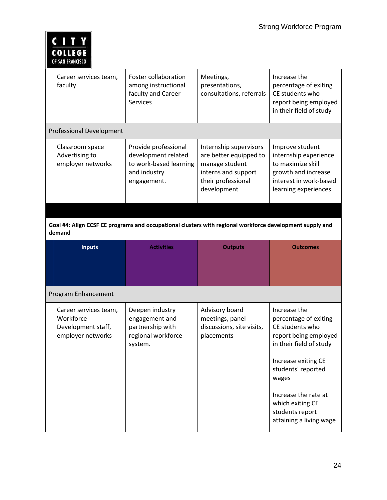| <b>COLLEGE</b><br>OF SAN FRANCISCO                                                                                 |                                                                                                      |                                                                                                                                |                                                                                                                                        |  |
|--------------------------------------------------------------------------------------------------------------------|------------------------------------------------------------------------------------------------------|--------------------------------------------------------------------------------------------------------------------------------|----------------------------------------------------------------------------------------------------------------------------------------|--|
| Career services team,<br>faculty                                                                                   | Foster collaboration<br>among instructional<br>faculty and Career<br>Services                        | Meetings,<br>presentations,<br>consultations, referrals                                                                        | Increase the<br>percentage of exiting<br>CE students who<br>report being employed<br>in their field of study                           |  |
| <b>Professional Development</b>                                                                                    |                                                                                                      |                                                                                                                                |                                                                                                                                        |  |
| Classroom space<br>Advertising to<br>employer networks                                                             | Provide professional<br>development related<br>to work-based learning<br>and industry<br>engagement. | Internship supervisors<br>are better equipped to<br>manage student<br>interns and support<br>their professional<br>development | Improve student<br>internship experience<br>to maximize skill<br>growth and increase<br>interest in work-based<br>learning experiences |  |
|                                                                                                                    |                                                                                                      |                                                                                                                                |                                                                                                                                        |  |
| Goal #4: Align CCSF CE programs and occupational clusters with regional workforce development supply and<br>demand |                                                                                                      |                                                                                                                                |                                                                                                                                        |  |
|                                                                                                                    |                                                                                                      |                                                                                                                                |                                                                                                                                        |  |
| <b>Inputs</b>                                                                                                      | <b>Activities</b>                                                                                    | <b>Outputs</b>                                                                                                                 | <b>Outcomes</b>                                                                                                                        |  |
|                                                                                                                    |                                                                                                      |                                                                                                                                |                                                                                                                                        |  |
| Program Enhancement                                                                                                |                                                                                                      |                                                                                                                                |                                                                                                                                        |  |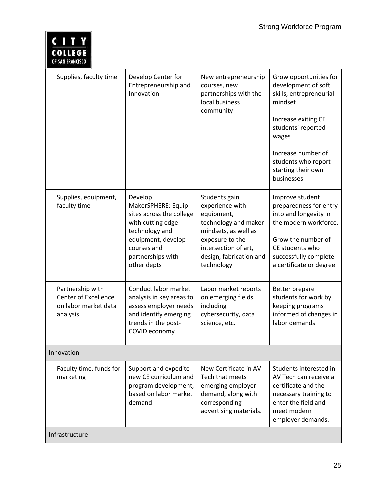| COLLEGE<br>OF SAN FRANCISCO                                                         |                                                                                                                                                                           |                                                                                                                                                                                    |                                                                                                                                                                                                                            |  |  |
|-------------------------------------------------------------------------------------|---------------------------------------------------------------------------------------------------------------------------------------------------------------------------|------------------------------------------------------------------------------------------------------------------------------------------------------------------------------------|----------------------------------------------------------------------------------------------------------------------------------------------------------------------------------------------------------------------------|--|--|
| Supplies, faculty time                                                              | Develop Center for<br>Entrepreneurship and<br>Innovation                                                                                                                  | New entrepreneurship<br>courses, new<br>partnerships with the<br>local business<br>community                                                                                       | Grow opportunities for<br>development of soft<br>skills, entrepreneurial<br>mindset<br>Increase exiting CE<br>students' reported<br>wages<br>Increase number of<br>students who report<br>starting their own<br>businesses |  |  |
| Supplies, equipment,<br>faculty time                                                | Develop<br>MakerSPHERE: Equip<br>sites across the college<br>with cutting edge<br>technology and<br>equipment, develop<br>courses and<br>partnerships with<br>other depts | Students gain<br>experience with<br>equipment,<br>technology and maker<br>mindsets, as well as<br>exposure to the<br>intersection of art,<br>design, fabrication and<br>technology | Improve student<br>preparedness for entry<br>into and longevity in<br>the modern workforce.<br>Grow the number of<br>CE students who<br>successfully complete<br>a certificate or degree                                   |  |  |
| Partnership with<br><b>Center of Excellence</b><br>on labor market data<br>analysis | Conduct labor market<br>analysis in key areas to<br>assess employer needs<br>and identify emerging<br>trends in the post-<br>COVID economy                                | Labor market reports<br>on emerging fields<br>including<br>cybersecurity, data<br>science, etc.                                                                                    | Better prepare<br>students for work by<br>keeping programs<br>informed of changes in<br>labor demands                                                                                                                      |  |  |
| Innovation                                                                          |                                                                                                                                                                           |                                                                                                                                                                                    |                                                                                                                                                                                                                            |  |  |
| Faculty time, funds for<br>marketing                                                | Support and expedite<br>new CE curriculum and<br>program development,<br>based on labor market<br>demand                                                                  | New Certificate in AV<br>Tech that meets<br>emerging employer<br>demand, along with<br>corresponding<br>advertising materials.                                                     | Students interested in<br>AV Tech can receive a<br>certificate and the<br>necessary training to<br>enter the field and<br>meet modern<br>employer demands.                                                                 |  |  |
| Infrastructure                                                                      |                                                                                                                                                                           |                                                                                                                                                                                    |                                                                                                                                                                                                                            |  |  |

 $\boxed{\underline{CITY}}$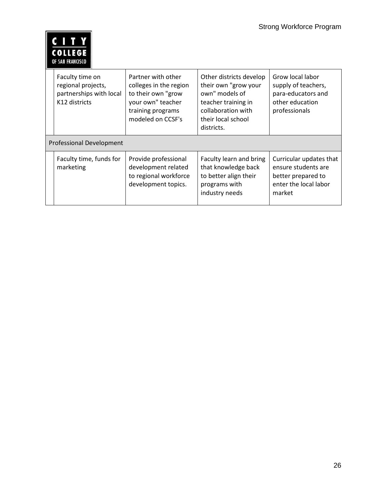| <b>COLLEGE</b><br>OF SAN FRANCISCO                                                |                                                                                                                                   |                                                                                                                                                    |                                                                                                         |
|-----------------------------------------------------------------------------------|-----------------------------------------------------------------------------------------------------------------------------------|----------------------------------------------------------------------------------------------------------------------------------------------------|---------------------------------------------------------------------------------------------------------|
| Faculty time on<br>regional projects,<br>partnerships with local<br>K12 districts | Partner with other<br>colleges in the region<br>to their own "grow<br>your own" teacher<br>training programs<br>modeled on CCSF's | Other districts develop<br>their own "grow your<br>own" models of<br>teacher training in<br>collaboration with<br>their local school<br>districts. | Grow local labor<br>supply of teachers,<br>para-educators and<br>other education<br>professionals       |
| Professional Development                                                          |                                                                                                                                   |                                                                                                                                                    |                                                                                                         |
| Faculty time, funds for<br>marketing                                              | Provide professional<br>development related<br>to regional workforce<br>development topics.                                       | Faculty learn and bring<br>that knowledge back<br>to better align their<br>programs with<br>industry needs                                         | Curricular updates that<br>ensure students are<br>better prepared to<br>enter the local labor<br>market |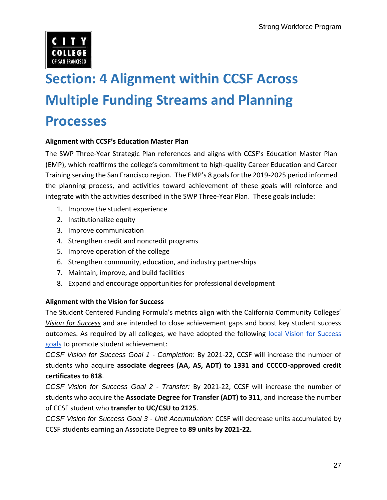

## **Section: 4 Alignment within CCSF Across Multiple Funding Streams and Planning Processes**

### **!lignment with CCSF's Education Master Plan**

The SWP Three-Year Strategic Plan references and aligns with CCSF's Education Master Plan (EMP), which reaffirms the college's commitment to high-quality Career Education and Career Training serving the San Francisco region. The EMP's 8 goals for the 2019-2025 period informed the planning process, and activities toward achievement of these goals will reinforce and integrate with the activities described in the SWP Three-Year Plan. These goals include:

- 1. Improve the student experience
- 2. Institutionalize equity
- 3. Improve communication
- 4. Strengthen credit and noncredit programs
- 5. Improve operation of the college
- 6. Strengthen community, education, and industry partnerships
- 7. Maintain, improve, and build facilities
- 8. Expand and encourage opportunities for professional development

### **Alignment with the Vision for Success**

The Student Centered Funding Formula's metrics align with the California Community Colleges' *[Vision for Success](https://vision.foundationccc.org/)* and are intended to close achievement gaps and boost key student success outcomes. As required by all colleges, we have adopted the following local Vision for Success [goals](https://www.ccsf.edu/en/employee-services/research-planning-and-grants/College_indices/vision-for-success.html) to promote student achievement:

 *CCSF Vision for Success Goal 1 - Completion:* By 2021-22, CCSF will increase the number of  students who acquire **associate degrees (AA, AS, ADT) to 1331 and CCCCO-approved credit certificates to 818**.

 *CCSF Vision for Success Goal 2 - Transfer:* By 2021-22, CCSF will increase the number of  students who acquire the **Associate Degree for Transfer (ADT) to 311**, and increase the number  of CCSF student who **transfer to UC/CSU to 2125**.

 *CCSF Vision for Success Goal 3 - Unit Accumulation:* CCSF will decrease units accumulated by CCSF students earning an Associate Degree to **89 units by 2021-22.**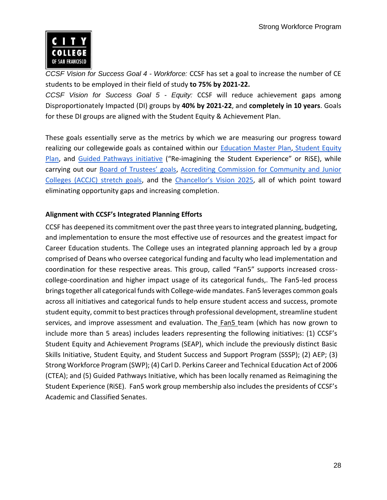

 *CCSF Vision for Success Goal 4 - Workforce:* CCSF has set a goal to increase the number of CE students to be employed in their field of study **to 75% by 2021-22.** 

 *CCSF Vision for Success Goal 5 - Equity:* CCSF will reduce achievement gaps among  Disproportionately Impacted (DI) groups by **40% by 2021-22**, and **completely in 10 years**. Goals for these DI groups are aligned with the Student Equity & Achievement Plan.

 These goals essentially serve as the metrics by which we are measuring our progress toward realizing our collegewide goals as contained within our **Education Master Plan, Student Equity** [Plan,](https://docs.google.com/document/d/1CNLuLL9C2VMx9JmWz8XHCXDBV07Gcds5P9nd7B32aYA/edit?usp=sharing) and [Guided Pathways initiative](http://www.ccsf.edu/rise) ("Re-imagining the Student Experience" or RiSE), while carrying out our **B[oard of Trustees' goals](http://www.ccsf.edu/en/about-city-college/board-of-trustees/board-priorities.html), Accrediting Commission for Community and Junior** [Colleges \(ACCJC\) stretch goals,](https://www.ccsf.edu/dam/Organizational_Assets/About_CCSF/Admin/PGC_Planning/March2019/ACCJCAnnualReport%20-%20Goals%20and%20Standards.pdf) and the C[hancellor's Vision 2025](http://www.ccsf.edu/dam/Organizational_Assets/About_CCSF/Admin/PGC_Planning/October2018/Vision%2090%20-%20L%20Foundation%20Presentation-%209-4-2018.pdf), all of which point toward eliminating opportunity gaps and increasing completion.

### **!lignment with CCSF's Integrated Planning Efforts**

 CCSF has deepened its commitment over the past three years to integrated planning, budgeting, and implementation to ensure the most effective use of resources and the greatest impact for Career Education students. The College uses an integrated planning approach led by a group comprised of Deans who oversee categorical funding and faculty who lead implementation and coordination for these respective areas. This group, called "Fan5" supports increased cross- college-coordination and higher impact usage of its categorical funds,. The Fan5-led process brings together all categorical funds with College-wide mandates. Fan5 leverages common goals across all initiatives and categorical funds to help ensure student access and success, promote student equity, commit to best practices through professional development, streamline student services, and improve assessment and evaluation. Th[e Fan5](https://www.ccsf.edu/en/employee-services/research-planning-and-grants/planning/FantasticFive.html) team (which has now grown to include more than 5 areas) includes leaders representing the following initiatives: (1) CCSF's Student Equity and Achievement Programs (SEAP), which include the previously distinct Basic Skills Initiative, Student Equity, and Student Success and Support Program (SSSP); (2) AEP; (3) Strong Workforce Program (SWP); (4) Carl D. Perkins Career and Technical Education Act of 2006 (CTEA); and (5) Guided Pathways Initiative, which has been locally renamed as Reimagining the Student Experience (RiSE). Fan5 work group membership also includes the presidents of CCSF's Academic and Classified Senates.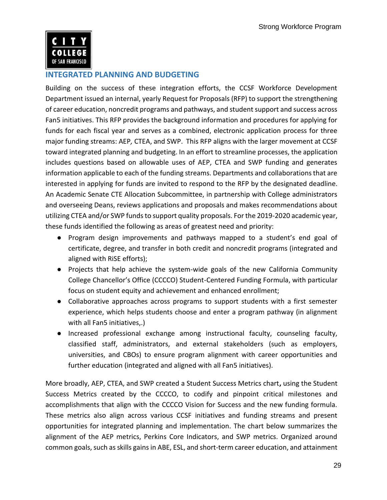

### **INTEGRATED PLANNING AND BUDGETING**

 Building on the success of these integration efforts, the CCSF Workforce Development Department issued an internal, yearly Request for Proposals (RFP) to support the strengthening of career education, noncredit programs and pathways, and student support and success across Fan5 initiatives. This RFP provides the background information and procedures for applying for funds for each fiscal year and serves as a combined, electronic application process for three major funding streams: AEP*,* CTEA, and SWP. This RFP aligns with the larger movement at CCSF toward integrated planning and budgeting. In an effort to streamline processes, the application includes questions based on allowable uses of AEP, CTEA and SWP funding and generates information applicable to each of the funding streams. Departments and collaborations that are interested in applying for funds are invited to respond to the RFP by the designated deadline. An Academic Senate CTE Allocation Subcommittee, in partnership with College administrators utilizing CTEA and/or SWP funds to support quality proposals. For the 2019-2020 academic year, these funds identified the following as areas of greatest need and priority: and overseeing Deans, reviews applications and proposals and makes recommendations about

- Program design improvements and pathways mapped to a student's end goal of certificate, degree, and transfer in both credit and noncredit programs (integrated and aligned with RiSE efforts);
- Projects that help achieve the system-wide goals of the new California Community College Chancellor's Office (CCCCO) Student-Centered Funding Formula, with particular focus on student equity and achievement and enhanced enrollment;
- Collaborative approaches across programs to support students with a first semester experience, which helps students choose and enter a program pathway (in alignment with all Fan5 initiatives,.)
- classified staff, administrators, and external stakeholders (such as employers, further education (integrated and aligned with all Fan5 initiatives). ● Increased professional exchange among instructional faculty, counseling faculty, universities, and CBOs) to ensure program alignment with career opportunities and

 More broadly, AEP, CTEA, and SWP created a Student Success Metrics chart**,** using the Student Success Metrics created by the [CCCCO,](https://digitalfutures.cccco.edu/Projects/Student-Success-Metrics) to codify and pinpoint critical milestones and accomplishments that align with the CCCCO Vision for Success and the new funding formula. These metrics also align across various CCSF initiatives and funding streams and present opportunities for integrated planning and implementation. The chart below summarizes the alignment of the AEP metrics, Perkins Core Indicators, and SWP metrics. Organized around common goals, such as skills gains in ABE, ESL, and short-term career education, and attainment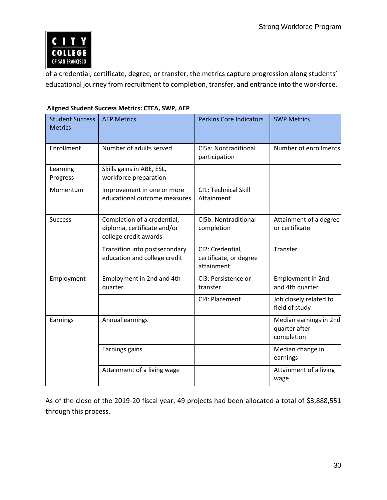

 of a credential, certificate, degree, or transfer, the metrics capture progression along students' educational journey from recruitment to completion, transfer, and entrance into the workforce.

| <b>Student Success</b><br><b>Metrics</b> | <b>AEP Metrics</b>                                                                  | <b>Perkins Core Indicators</b>                           | <b>SWP Metrics</b>                                    |
|------------------------------------------|-------------------------------------------------------------------------------------|----------------------------------------------------------|-------------------------------------------------------|
| Enrollment                               | Number of adults served                                                             | CI5a: Nontraditional<br>participation                    | Number of enrollments                                 |
| Learning<br>Progress                     | Skills gains in ABE, ESL,<br>workforce preparation                                  |                                                          |                                                       |
| Momentum                                 | Improvement in one or more<br>educational outcome measures                          | CI1: Technical Skill<br>Attainment                       |                                                       |
| <b>Success</b>                           | Completion of a credential,<br>diploma, certificate and/or<br>college credit awards | CI5b: Nontraditional<br>completion                       | Attainment of a degree<br>or certificate              |
|                                          | Transition into postsecondary<br>education and college credit                       | CI2: Credential,<br>certificate, or degree<br>attainment | Transfer                                              |
| Employment                               | Employment in 2nd and 4th<br>quarter                                                | CI3: Persistence or<br>transfer                          | Employment in 2nd<br>and 4th quarter                  |
|                                          |                                                                                     | CI4: Placement                                           | Job closely related to<br>field of study              |
| Earnings                                 | Annual earnings                                                                     |                                                          | Median earnings in 2nd<br>quarter after<br>completion |
|                                          | Earnings gains                                                                      |                                                          | Median change in<br>earnings                          |
|                                          | Attainment of a living wage                                                         |                                                          | Attainment of a living<br>wage                        |

### **Aligned Student Success Metrics: CTEA, SWP, AEP**

 As of the close of the 2019-20 fiscal year, 49 projects had been allocated a total of \$3,888,551 through this process.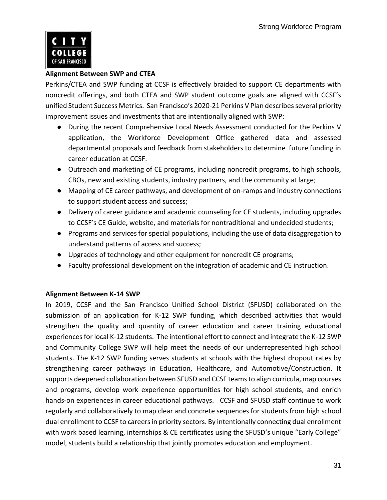

### **Alignment Between SWP and CTEA**

 Perkins/CTEA and SWP funding at CCSF is effectively braided to support CE departments with noncredit offerings, and both CTEA and SWP student outcome goals are aligned with CCSF's unified Student Success Metrics. San Francisco's 2020-21 Perkins V Plan describes several priority improvement issues and investments that are intentionally aligned with SWP:

- During the recent Comprehensive Local Needs Assessment conducted for the Perkins V application, the Workforce Development Office gathered data and assessed departmental proposals and feedback from stakeholders to determine future funding in career education at CCSF.
- Outreach and marketing of CE programs, including noncredit programs, to high schools, CBOs, new and existing students, industry partners, and the community at large;
- Mapping of CE career pathways, and development of on-ramps and industry connections to support student access and success;
- to CCSF's CE Guide, website, and materials for nontraditional and undecided students; ● Delivery of career guidance and academic counseling for CE students, including upgrades
- Programs and services for special populations, including the use of data disaggregation to understand patterns of access and success;
- Upgrades of technology and other equipment for noncredit CE programs;
- Faculty professional development on the integration of academic and CE instruction.

### **Alignment Between K-14 SWP**

 In 2019, CCSF and the San Francisco Unified School District (SFUSD) collaborated on the submission of an application for K-12 SWP funding, which described activities that would strengthen the quality and quantity of career education and career training educational experiences for local K-12 students. The intentional effort to connect and integrate the K-12 SWP and Community College SWP will help meet the needs of our underrepresented high school students. The K-12 SWP funding serves students at schools with the highest dropout rates by strengthening career pathways in Education, Healthcare, and Automotive/Construction. It supports deepened collaboration between SFUSD and CCSF teams to align curricula, map courses and programs, develop work experience opportunities for high school students, and enrich hands-on experiences in career educational pathways. CCSF and SFUSD staff continue to work regularly and collaboratively to map clear and concrete sequences for students from high school dual enrollment to CCSF to careers in priority sectors. By intentionally connecting dual enrollment with work based learning, internships & CE certificates using the SFUSD's unique "Early College" model, students build a relationship that jointly promotes education and employment.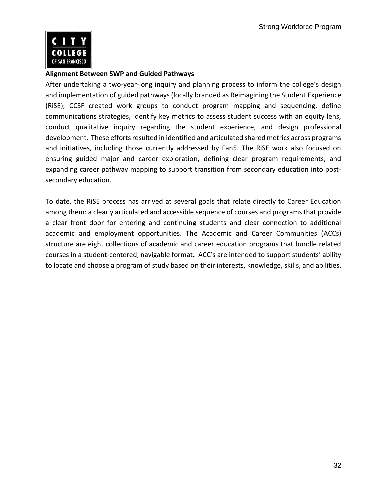

#### **Alignment Between SWP and Guided Pathways**

 and implementation of guided pathways (locally branded as Reimagining the Student Experience (RiSE), CCSF created work groups to conduct program mapping and sequencing, define communications strategies, identify key metrics to assess student success with an equity lens, development. These efforts resulted in identified and articulated shared metrics across programs and initiatives, including those currently addressed by Fan5. The RiSE work also focused on ensuring guided major and career exploration, defining clear program requirements, and expanding career pathway mapping to support transition from secondary education into post-After undertaking a two-year-long inquiry and planning process to inform the college's design conduct qualitative inquiry regarding the student experience, and design professional secondary education.

 To date, the RiSE process has arrived at several goals that relate directly to Career Education among them: a clearly articulated and accessible sequence of courses and programs that provide a clear front door for entering and continuing students and clear connection to additional structure are eight collections of academic and career education programs that bundle related courses in a student-centered, navigable format. ACC's are intended to support students' ability to locate and choose a program of study based on their interests, knowledge, skills, and abilities. academic and employment opportunities. The Academic and Career Communities (ACCs)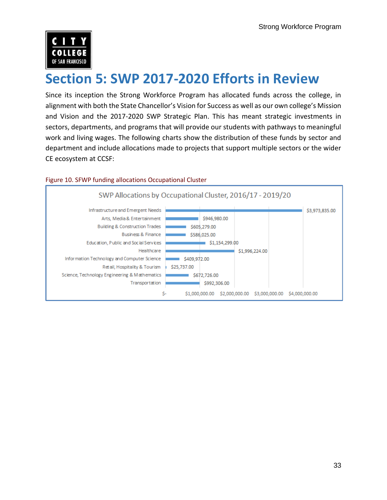

### **Section 5: SWP 2017-2020 Efforts in Review**

alignment with both the State Chancellor's Vision for Success as well as our own college's Mission and Vision and the 2017-2020 SWP Strategic Plan. This has meant strategic investments in sectors, departments, and programs that will provide our students with pathways to meaningful work and living wages. The following charts show the distribution of these funds by sector and department and include allocations made to projects that support multiple sectors or the wider Since its inception the Strong Workforce Program has allocated funds across the college, in CE ecosystem at CCSF:



#### Figure 10. SFWP funding allocations Occupational Cluster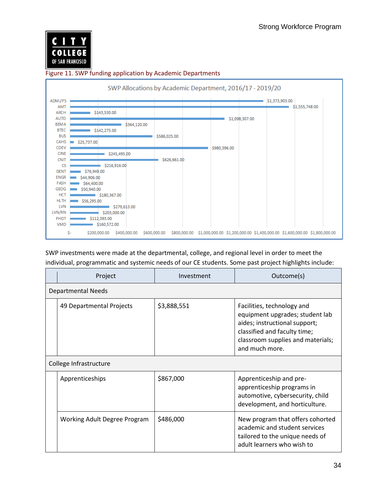

### Figure 11. SWP funding application by Academic Departments SWP Allocations by Academic Department, 2016/17 - 2019/20



 SWP investments were made at the departmental, college, and regional level in order to meet the individual, programmatic and systemic needs of our CE students. Some past project highlights include:

| Project                      | Investment  | Outcome(s)                                                                                                                                                                            |
|------------------------------|-------------|---------------------------------------------------------------------------------------------------------------------------------------------------------------------------------------|
| <b>Departmental Needs</b>    |             |                                                                                                                                                                                       |
| 49 Departmental Projects     | \$3,888,551 | Facilities, technology and<br>equipment upgrades; student lab<br>aides; instructional support;<br>classified and faculty time;<br>classroom supplies and materials;<br>and much more. |
| College Infrastructure       |             |                                                                                                                                                                                       |
| Apprenticeships              | \$867,000   | Apprenticeship and pre-<br>apprenticeship programs in<br>automotive, cybersecurity, child<br>development, and horticulture.                                                           |
| Working Adult Degree Program | \$486,000   | New program that offers cohorted<br>academic and student services<br>tailored to the unique needs of<br>adult learners who wish to                                                    |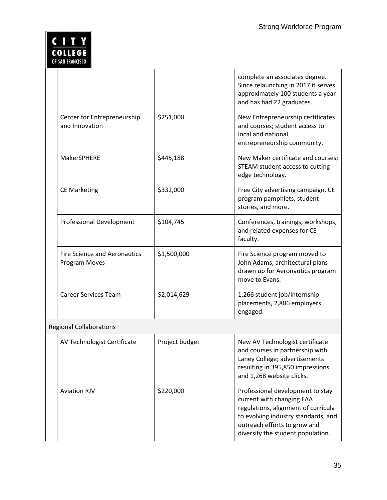### <u>C I T Y</u><br>COLLEGE OF SAN FRANCISCO

|                                                             |                | complete an associates degree.<br>Since relaunching in 2017 it serves<br>approximately 100 students a year<br>and has had 22 graduates.                                                                          |
|-------------------------------------------------------------|----------------|------------------------------------------------------------------------------------------------------------------------------------------------------------------------------------------------------------------|
| Center for Entrepreneurship<br>and Innovation               | \$251,000      | New Entrepreneurship certificates<br>and courses; student access to<br>local and national<br>entrepreneurship community.                                                                                         |
| MakerSPHERE                                                 | \$445,188      | New Maker certificate and courses;<br>STEAM student access to cutting<br>edge technology.                                                                                                                        |
| <b>CE Marketing</b>                                         | \$332,000      | Free City advertising campaign, CE<br>program pamphlets, student<br>stories, and more.                                                                                                                           |
| <b>Professional Development</b>                             | \$104,745      | Conferences, trainings, workshops,<br>and related expenses for CE<br>faculty.                                                                                                                                    |
| <b>Fire Science and Aeronautics</b><br><b>Program Moves</b> | \$1,500,000    | Fire Science program moved to<br>John Adams, architectural plans<br>drawn up for Aeronautics program<br>move to Evans.                                                                                           |
| <b>Career Services Team</b>                                 | \$2,014,629    | 1,266 student job/internship<br>placements, 2,886 employers<br>engaged.                                                                                                                                          |
| <b>Regional Collaborations</b>                              |                |                                                                                                                                                                                                                  |
| AV Technologist Certificate                                 | Project budget | New AV Technologist certificate<br>and courses in partnership with<br>Laney College; advertisements<br>resulting in 395,850 impressions<br>and 1,268 website clicks.                                             |
| <b>Aviation RJV</b>                                         | \$220,000      | Professional development to stay<br>current with changing FAA<br>regulations, alignment of curricula<br>to evolving industry standards, and<br>outreach efforts to grow and<br>diversify the student population. |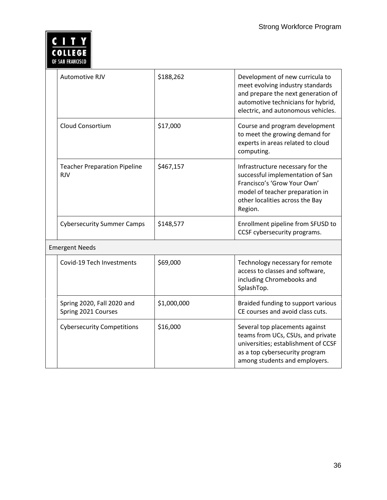

| Automotive RJV                                    | \$188,262   | Development of new curricula to<br>meet evolving industry standards<br>and prepare the next generation of<br>automotive technicians for hybrid,<br>electric, and autonomous vehicles. |
|---------------------------------------------------|-------------|---------------------------------------------------------------------------------------------------------------------------------------------------------------------------------------|
| <b>Cloud Consortium</b>                           | \$17,000    | Course and program development<br>to meet the growing demand for<br>experts in areas related to cloud<br>computing.                                                                   |
| <b>Teacher Preparation Pipeline</b><br><b>RJV</b> | \$467,157   | Infrastructure necessary for the<br>successful implementation of San<br>Francisco's 'Grow Your Own'<br>model of teacher preparation in<br>other localities across the Bay<br>Region.  |
| <b>Cybersecurity Summer Camps</b>                 | \$148,577   | Enrollment pipeline from SFUSD to<br>CCSF cybersecurity programs.                                                                                                                     |
| <b>Emergent Needs</b>                             |             |                                                                                                                                                                                       |
| Covid-19 Tech Investments                         | \$69,000    | Technology necessary for remote<br>access to classes and software,<br>including Chromebooks and<br>SplashTop.                                                                         |
| Spring 2020, Fall 2020 and<br>Spring 2021 Courses | \$1,000,000 | Braided funding to support various<br>CE courses and avoid class cuts.                                                                                                                |
| <b>Cybersecurity Competitions</b>                 | \$16,000    | Several top placements against<br>teams from UCs, CSUs, and private<br>universities; establishment of CCSF<br>as a top cybersecurity program<br>among students and employers.         |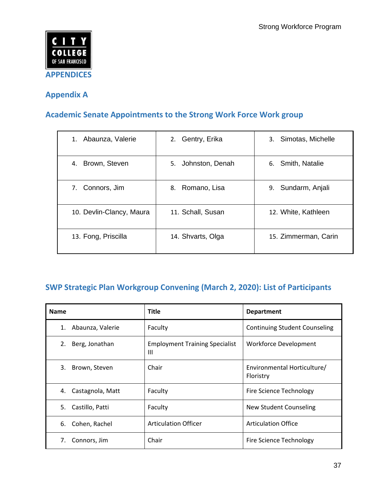

### **Appendix A**

### **Academic Senate Appointments to the Strong Work Force Work group**

| Abaunza, Valerie<br>1.   | 2. Gentry, Erika   | 3. Simotas, Michelle  |
|--------------------------|--------------------|-----------------------|
| Brown, Steven<br>4.      | 5. Johnston, Denah | 6. Smith, Natalie     |
| 7. Connors, Jim          | 8. Romano, Lisa    | Sundarm, Anjali<br>9. |
| 10. Devlin-Clancy, Maura | 11. Schall, Susan  | 12. White, Kathleen   |
| 13. Fong, Priscilla      | 14. Shvarts, Olga  | 15. Zimmerman, Carin  |

### **SWP Strategic Plan Workgroup Convening (March 2, 2020): List of Participants**

| <b>Name</b>            | <b>Title</b>                               | <b>Department</b>                        |
|------------------------|--------------------------------------------|------------------------------------------|
| Abaunza, Valerie<br>1. | Faculty                                    | <b>Continuing Student Counseling</b>     |
| 2.<br>Berg, Jonathan   | <b>Employment Training Specialist</b><br>Ш | Workforce Development                    |
| 3.<br>Brown, Steven    | Chair                                      | Environmental Horticulture/<br>Floristry |
| Castagnola, Matt<br>4. | Faculty                                    | Fire Science Technology                  |
| Castillo, Patti<br>5.  | Faculty                                    | New Student Counseling                   |
| Cohen, Rachel<br>6.    | <b>Articulation Officer</b>                | <b>Articulation Office</b>               |
| 7.<br>Connors, Jim     | Chair                                      | Fire Science Technology                  |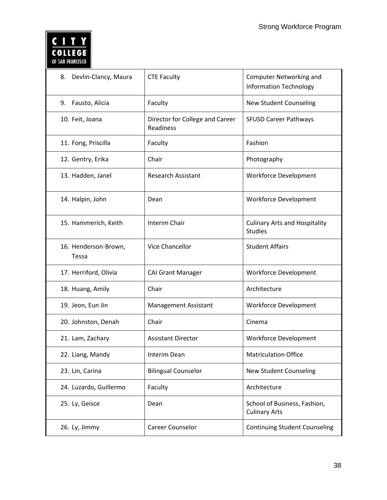### <u>C I T Y</u><br>COLLEGE OF SAN FRANCISCO

| Devlin-Clancy, Maura<br>8.    | <b>CTE Faculty</b>                           | <b>Computer Networking and</b><br><b>Information Technology</b> |
|-------------------------------|----------------------------------------------|-----------------------------------------------------------------|
| 9.<br>Fausto, Alicia          | Faculty                                      | <b>New Student Counseling</b>                                   |
| 10. Feit, Joana               | Director for College and Career<br>Readiness | <b>SFUSD Career Pathways</b>                                    |
| 11. Fong, Priscilla           | Faculty                                      | Fashion                                                         |
| 12. Gentry, Erika             | Chair                                        | Photography                                                     |
| 13. Hadden, Janel             | <b>Research Assistant</b>                    | <b>Workforce Development</b>                                    |
| 14. Halpin, John              | Dean                                         | <b>Workforce Development</b>                                    |
| 15. Hammerich, Keith          | <b>Interim Chair</b>                         | <b>Culinary Arts and Hospitality</b><br><b>Studies</b>          |
| 16. Henderson-Brown,<br>Tessa | Vice Chancellor                              | <b>Student Affairs</b>                                          |
| 17. Herriford, Olivia         | <b>CAI Grant Manager</b>                     | <b>Workforce Development</b>                                    |
| 18. Huang, Amily              | Chair                                        | Architecture                                                    |
| 19. Jeon, Eun Jin             | <b>Management Assistant</b>                  | <b>Workforce Development</b>                                    |
| 20. Johnston, Denah           | Chair                                        | Cinema                                                          |
| 21. Lam, Zachary              | <b>Assistant Director</b>                    | <b>Workforce Development</b>                                    |
| 22. Liang, Mandy              | Interim Dean                                 | <b>Matriculation Office</b>                                     |
| 23. Lin, Carina               | <b>Bilingual Counselor</b>                   | <b>New Student Counseling</b>                                   |
| 24. Luzardo, Guillermo        | Faculty                                      | Architecture                                                    |
| 25. Ly, Geisce                | Dean                                         | School of Business, Fashion,<br><b>Culinary Arts</b>            |
| 26. Ly, Jimmy                 | Career Counselor                             | <b>Continuing Student Counseling</b>                            |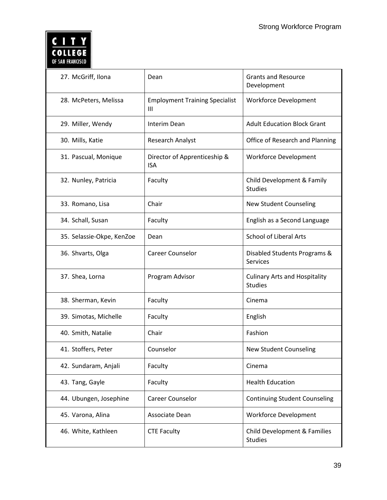### <u>C I T Y</u><br>COLLEGE OF SAN FRANCISCO

| 27. McGriff, Ilona        | Dean                                                    | <b>Grants and Resource</b><br>Development              |  |
|---------------------------|---------------------------------------------------------|--------------------------------------------------------|--|
| 28. McPeters, Melissa     | <b>Employment Training Specialist</b><br>$\mathbf{III}$ | <b>Workforce Development</b>                           |  |
| 29. Miller, Wendy         | Interim Dean                                            | <b>Adult Education Block Grant</b>                     |  |
| 30. Mills, Katie          | <b>Research Analyst</b>                                 | Office of Research and Planning                        |  |
| 31. Pascual, Monique      | Director of Apprenticeship &<br><b>ISA</b>              | <b>Workforce Development</b>                           |  |
| 32. Nunley, Patricia      | Faculty                                                 | Child Development & Family<br><b>Studies</b>           |  |
| 33. Romano, Lisa          | Chair                                                   | <b>New Student Counseling</b>                          |  |
| 34. Schall, Susan         | Faculty                                                 | English as a Second Language                           |  |
| 35. Selassie-Okpe, KenZoe | Dean                                                    | <b>School of Liberal Arts</b>                          |  |
| 36. Shvarts, Olga         | Career Counselor                                        | Disabled Students Programs &<br>Services               |  |
| 37. Shea, Lorna           | Program Advisor                                         | <b>Culinary Arts and Hospitality</b><br><b>Studies</b> |  |
| 38. Sherman, Kevin        | Faculty                                                 | Cinema                                                 |  |
| 39. Simotas, Michelle     | Faculty                                                 | English                                                |  |
| 40. Smith, Natalie        | Chair                                                   | Fashion                                                |  |
| 41. Stoffers, Peter       | Counselor                                               | <b>New Student Counseling</b>                          |  |
| 42. Sundaram, Anjali      | Faculty                                                 | Cinema                                                 |  |
| 43. Tang, Gayle           | Faculty                                                 | <b>Health Education</b>                                |  |
| 44. Ubungen, Josephine    | <b>Career Counselor</b>                                 | <b>Continuing Student Counseling</b>                   |  |
| 45. Varona, Alina         | Associate Dean                                          | <b>Workforce Development</b>                           |  |
| 46. White, Kathleen       | <b>CTE Faculty</b>                                      | Child Development & Families<br><b>Studies</b>         |  |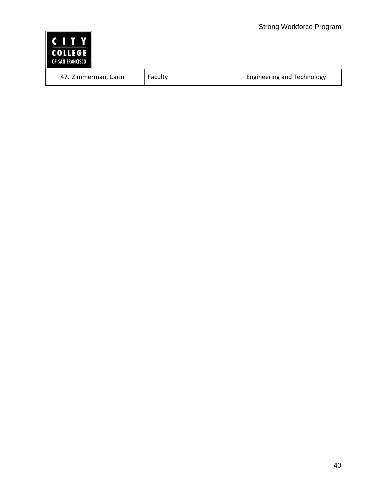| <b>C</b><br>П<br><b>COLLEGE</b><br>OF SAN FRANCISCO |         |                                   |
|-----------------------------------------------------|---------|-----------------------------------|
| 47. Zimmerman, Carin                                | Faculty | <b>Engineering and Technology</b> |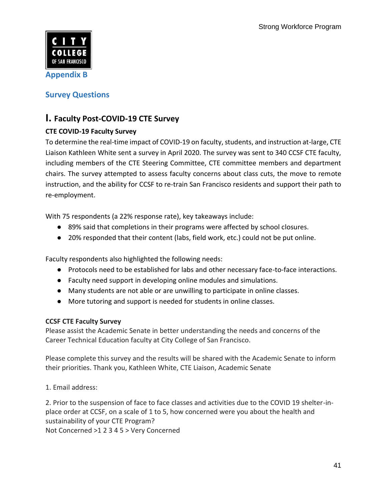

**Survey Questions** 

### **I. Faculty Post-COVID-19 CTE Survey**

### **CTE COVID-19 Faculty Survey**

 To determine the real-time impact of COVID-19 on faculty, students, and instruction at-large, CTE Liaison Kathleen White sent a survey in April 2020. The survey was sent to 340 CCSF CTE faculty, including members of the CTE Steering Committee, CTE committee members and department instruction, and the ability for CCSF to re-train San Francisco residents and support their path to chairs. The survey attempted to assess faculty concerns about class cuts, the move to remote re-employment.

With 75 respondents (a 22% response rate), key takeaways include:

- 89% said that completions in their programs were affected by school closures.
- 20% responded that their content (labs, field work, etc.) could not be put online.

Faculty respondents also highlighted the following needs:

- Protocols need to be established for labs and other necessary face-to-face interactions.
- Faculty need support in developing online modules and simulations.
- Many students are not able or are unwilling to participate in online classes.
- More tutoring and support is needed for students in online classes.

### **CCSF CTE Faculty Survey**

 Please assist the Academic Senate in better understanding the needs and concerns of the Career Technical Education faculty at City College of San Francisco.

 Please complete this survey and the results will be shared with the Academic Senate to inform their priorities. Thank you, Kathleen White, CTE Liaison, Academic Senate

1. Email address:

 2. Prior to the suspension of face to face classes and activities due to the COVID 19 shelter-in- place order at CCSF, on a scale of 1 to 5, how concerned were you about the health and sustainability of your CTE Program? Not Concerned >1 2 3 4 5 > Very Concerned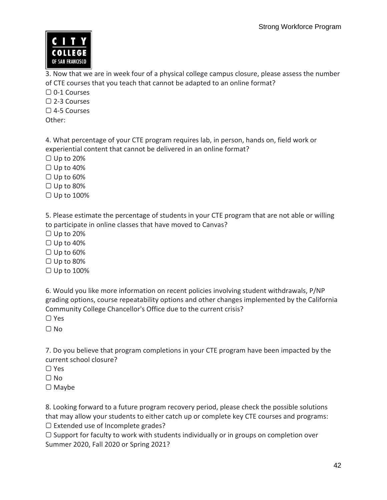

 3. Now that we are in week four of a physical college campus closure, please assess the number of CTE courses that you teach that cannot be adapted to an online format?

▢ 0-1 Courses ▢ 2-3 Courses

▢ 4-5 Courses

Other:

 4. What percentage of your CTE program requires lab, in person, hands on, field work or experiential content that cannot be delivered in an online format?

▢ Up to 20%

▢ Up to 40%

▢ Up to 60%

▢ Up to 80%

▢ Up to 100%

 5. Please estimate the percentage of students in your CTE program that are not able or willing to participate in online classes that have moved to Canvas?

▢ Up to 20%

▢ Up to 40%

▢ Up to 60%

▢ Up to 80%

▢ Up to 100%

 6. Would you like more information on recent policies involving student withdrawals, P/NP grading options, course repeatability options and other changes implemented by the California Community College Chancellor's Office due to the current crisis?

▢ Yes

▢ No

 7. Do you believe that program completions in your CTE program have been impacted by the current school closure?

▢ Yes

▢ No

▢ Maybe

 8. Looking forward to a future program recovery period, please check the possible solutions that may allow your students to either catch up or complete key CTE courses and programs: ▢ Extended use of Incomplete grades?

 ▢ Support for faculty to work with students individually or in groups on completion over Summer 2020, Fall 2020 or Spring 2021?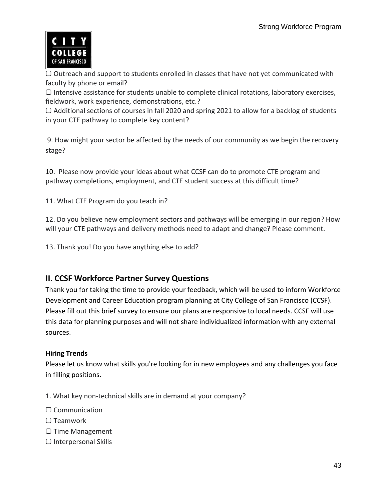

 ▢ Outreach and support to students enrolled in classes that have not yet communicated with faculty by phone or email?

▢ Intensive assistance for students unable to complete clinical rotations, laboratory exercises, fieldwork, work experience, demonstrations, etc.?

 ▢ Additional sections of courses in fall 2020 and spring 2021 to allow for a backlog of students in your CTE pathway to complete key content?

 9. How might your sector be affected by the needs of our community as we begin the recovery stage?

 10. Please now provide your ideas about what CCSF can do to promote CTE program and pathway completions, employment, and CTE student success at this difficult time?

11. What CTE Program do you teach in?

 12. Do you believe new employment sectors and pathways will be emerging in our region? How will your CTE pathways and delivery methods need to adapt and change? Please comment.

13. Thank you! Do you have anything else to add?

### **II. CCSF Workforce Partner Survey Questions**

 Thank you for taking the time to provide your feedback, which will be used to inform Workforce Development and Career Education program planning at City College of San Francisco (CCSF). Please fill out this brief survey to ensure our plans are responsive to local needs. CCSF will use this data for planning purposes and will not share individualized information with any external sources.

### **Hiring Trends**

 Please let us know what skills you're looking for in new employees and any challenges you face in filling positions.

- 1. What key non-technical skills are in demand at your company?
- ▢ Communication
- ▢ Teamwork
- ▢ Time Management
- ▢ Interpersonal Skills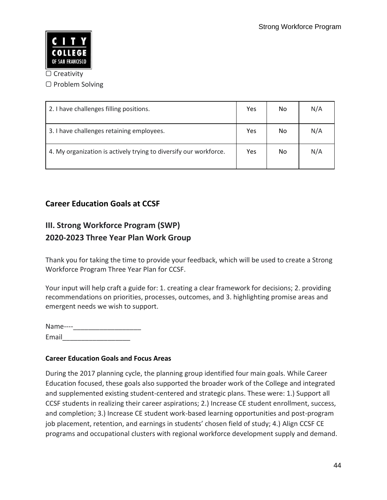

#### ▢ Creativity

▢ Problem Solving

| 2. I have challenges filling positions.                           | Yes | No | N/A |
|-------------------------------------------------------------------|-----|----|-----|
| 3. I have challenges retaining employees.                         | Yes | No | N/A |
| 4. My organization is actively trying to diversify our workforce. | Yes | No | N/A |

### **Career Education Goals at CCSF**

### **III. Strong Workforce Program (SWP) 2020-2023 Three Year Plan Work Group**

 Thank you for taking the time to provide your feedback, which will be used to create a Strong Workforce Program Three Year Plan for CCSF.

 Your input will help craft a guide for: 1. creating a clear framework for decisions; 2. providing recommendations on priorities, processes, outcomes, and 3. highlighting promise areas and emergent needs we wish to support.

Name----Email\_\_\_\_\_\_\_\_\_\_\_\_\_\_\_\_\_\_

### **Career Education Goals and Focus Areas**

 During the 2017 planning cycle, the planning group identified four main goals. While Career Education focused, these goals also supported the broader work of the College and integrated and supplemented existing student-centered and strategic plans. These were: 1.) Support all CCSF students in realizing their career aspirations; 2.) Increase CE student enrollment, success, job placement, retention, and earnings in students' chosen field of study; 4.) Align CCSF CE programs and occupational clusters with regional workforce development supply and demand. and completion; 3.) Increase CE student work-based learning opportunities and post-program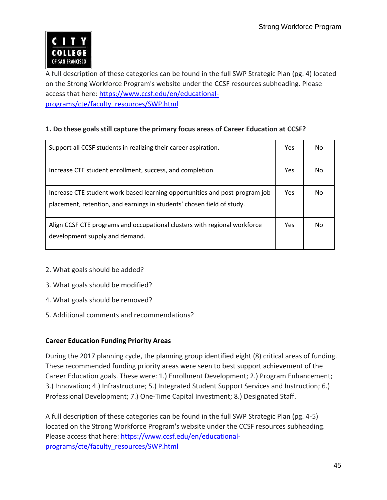

 A full description of these categories can be found in the full SWP Strategic Plan (pg. 4) located on the Strong Workforce Program's website under the CCSF resources subheading. Please access that here[: https://www.ccsf.edu/en/educational](https://www.ccsf.edu/en/educational-programs/cte/faculty_resources/SWP.html)[programs/cte/faculty\\_resources/SWP.html](https://www.ccsf.edu/en/educational-programs/cte/faculty_resources/SWP.html) 

### **1. Do these goals still capture the primary focus areas of Career Education at CCSF?**

| Support all CCSF students in realizing their career aspiration.                                                                                       | <b>Yes</b> | Nο |
|-------------------------------------------------------------------------------------------------------------------------------------------------------|------------|----|
| Increase CTE student enrollment, success, and completion.                                                                                             | <b>Yes</b> | No |
| Increase CTE student work-based learning opportunities and post-program job<br>placement, retention, and earnings in students' chosen field of study. | <b>Yes</b> | No |
| Align CCSF CTE programs and occupational clusters with regional workforce<br>development supply and demand.                                           | <b>Yes</b> | No |

- 2. What goals should be added?
- 3. What goals should be modified?
- 4. What goals should be removed?
- 5. Additional comments and recommendations?

### **Career Education Funding Priority Areas**

 During the 2017 planning cycle, the planning group identified eight (8) critical areas of funding. These recommended funding priority areas were seen to best support achievement of the Career Education goals. These were: 1.) Enrollment Development; 2.) Program Enhancement; 3.) Innovation; 4.) Infrastructure; 5.) Integrated Student Support Services and Instruction; 6.) Professional Development; 7.) One-Time Capital Investment; 8.) Designated Staff.

 A full description of these categories can be found in the full SWP Strategic Plan (pg. 4-5) located on the Strong Workforce Program's website under the CCSF resources subheading. Please access that here[: https://www.ccsf.edu/en/educational](https://www.ccsf.edu/en/educational-programs/cte/faculty_resources/SWP.html)[programs/cte/faculty\\_resources/SWP.html](https://www.ccsf.edu/en/educational-programs/cte/faculty_resources/SWP.html)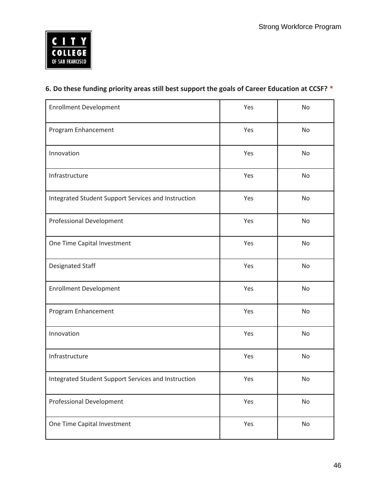

### **6. Do these funding priority areas still best support the goals of Career Education at CCSF? \***

| <b>Enrollment Development</b>                       | Yes | No |
|-----------------------------------------------------|-----|----|
| Program Enhancement                                 | Yes | No |
| Innovation                                          | Yes | No |
| Infrastructure                                      | Yes | No |
| Integrated Student Support Services and Instruction | Yes | No |
| Professional Development                            | Yes | No |
| One Time Capital Investment                         | Yes | No |
| Designated Staff                                    | Yes | No |
| <b>Enrollment Development</b>                       | Yes | No |
| Program Enhancement                                 | Yes | No |
| Innovation                                          | Yes | No |
| Infrastructure                                      | Yes | No |
| Integrated Student Support Services and Instruction | Yes | No |
| <b>Professional Development</b>                     | Yes | No |
| One Time Capital Investment                         | Yes | No |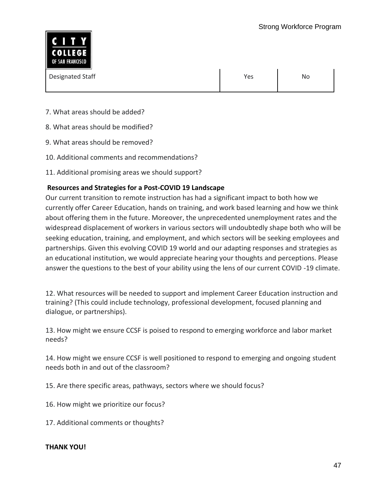

| Designated Staff | Yes | No |
|------------------|-----|----|
|                  |     |    |

- 7. What areas should be added?
- 8. What areas should be modified?
- 9. What areas should be removed?
- 10. Additional comments and recommendations?
- 11. Additional promising areas we should support?

### **Resources and Strategies for a Post-COVID 19 Landscape**

 Our current transition to remote instruction has had a significant impact to both how we currently offer Career Education, hands on training, and work based learning and how we think about offering them in the future. Moreover, the unprecedented unemployment rates and the widespread displacement of workers in various sectors will undoubtedly shape both who will be seeking education, training, and employment, and which sectors will be seeking employees and partnerships. Given this evolving COVID 19 world and our adapting responses and strategies as an educational institution, we would appreciate hearing your thoughts and perceptions. Please answer the questions to the best of your ability using the lens of our current COVID -19 climate.

 12. What resources will be needed to support and implement Career Education instruction and training? (This could include technology, professional development, focused planning and dialogue, or partnerships).

 13. How might we ensure CCSF is poised to respond to emerging workforce and labor market needs?

 14. How might we ensure CCSF is well positioned to respond to emerging and ongoing student needs both in and out of the classroom?

15. Are there specific areas, pathways, sectors where we should focus?

- 16. How might we prioritize our focus?
- 17. Additional comments or thoughts?

#### **THANK YOU!**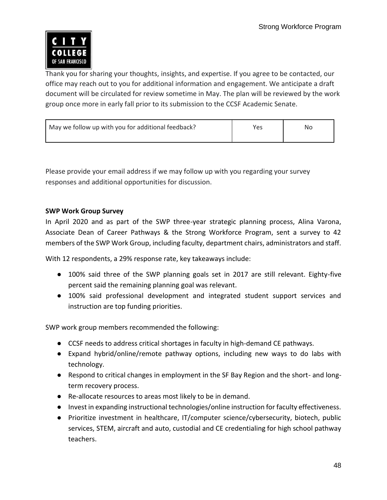

 Thank you for sharing your thoughts, insights, and expertise. If you agree to be contacted, our office may reach out to you for additional information and engagement. We anticipate a draft document will be circulated for review sometime in May. The plan will be reviewed by the work group once more in early fall prior to its submission to the CCSF Academic Senate.

| May we follow up with you for additional feedback? | Yes | No |
|----------------------------------------------------|-----|----|
|                                                    |     |    |

 Please provide your email address if we may follow up with you regarding your survey responses and additional opportunities for discussion.

### **SWP Work Group Survey**

 In April 2020 and as part of the SWP three-year strategic planning process, Alina Varona, Associate Dean of Career Pathways & the Strong Workforce Program, sent a survey to 42 members of the SWP Work Group, including faculty, department chairs, administrators and staff.

With 12 respondents, a 29% response rate, key takeaways include:

- 100% said three of the SWP planning goals set in 2017 are still relevant. Eighty-five percent said the remaining planning goal was relevant.
- 100% said professional development and integrated student support services and instruction are top funding priorities.

SWP work group members recommended the following:

- CCSF needs to address critical shortages in faculty in high-demand CE pathways.
- Expand hybrid/online/remote pathway options, including new ways to do labs with technology.
- Respond to critical changes in employment in the SF Bay Region and the short- and longterm recovery process.
- Re-allocate resources to areas most likely to be in demand.
- Invest in expanding instructional technologies/online instruction for faculty effectiveness.
- Prioritize investment in healthcare, IT/computer science/cybersecurity, biotech, public services, STEM, aircraft and auto, custodial and CE credentialing for high school pathway teachers.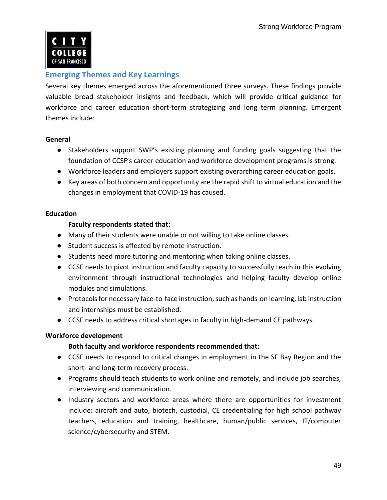

### **Emerging Themes and Key Learnings**

 Several key themes emerged across the aforementioned three surveys. These findings provide valuable broad stakeholder insights and feedback, which will provide critical guidance for workforce and career education short-term strategizing and long term planning. Emergent themes include:

### **General**

- Stakeholders support SWP's existing planning and funding goals suggesting that the foundation of CCSF's career education and workforce development programs is strong.
- Workforce leaders and employers support existing overarching career education goals.
- Key areas of both concern and opportunity are the rapid shift to virtual education and the changes in employment that COVID-19 has caused.

### **Education**

### **Faculty respondents stated that:**

- Many of their students were unable or not willing to take online classes.
- Student success is affected by remote instruction.
- Students need more tutoring and mentoring when taking online classes.
- CCSF needs to pivot instruction and faculty capacity to successfully teach in this evolving environment through instructional technologies and helping faculty develop online modules and simulations.
- Protocols for necessary face-to-face instruction, such as hands-on learning, lab instruction and internships must be established.
- CCSF needs to address critical shortages in faculty in high-demand CE pathways.

### **Workforce development**

### **Both faculty and workforce respondents recommended that:**

- CCSF needs to respond to critical changes in employment in the SF Bay Region and the short- and long-term recovery process.
- Programs should teach students to work online and remotely, and include job searches, interviewing and communication.
- Industry sectors and workforce areas where there are opportunities for investment include: aircraft and auto, biotech, custodial, CE credentialing for high school pathway teachers, education and training, healthcare, human/public services, IT/computer science/cybersecurity and STEM.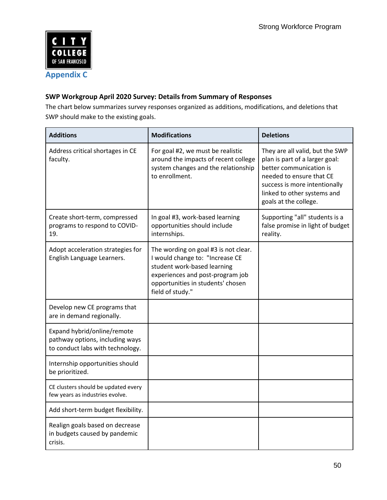

### **SWP Workgroup April 2020 Survey: Details from Summary of Responses**

The chart below summarizes survey responses organized as additions, modifications, and deletions that SWP should make to the existing goals.

| <b>Additions</b>                                                                                   | <b>Modifications</b>                                                                                                                                                                                | <b>Deletions</b>                                                                                                                                                                                                  |
|----------------------------------------------------------------------------------------------------|-----------------------------------------------------------------------------------------------------------------------------------------------------------------------------------------------------|-------------------------------------------------------------------------------------------------------------------------------------------------------------------------------------------------------------------|
| Address critical shortages in CE<br>faculty.                                                       | For goal #2, we must be realistic<br>around the impacts of recent college<br>system changes and the relationship<br>to enrollment.                                                                  | They are all valid, but the SWP<br>plan is part of a larger goal:<br>better communication is<br>needed to ensure that CE<br>success is more intentionally<br>linked to other systems and<br>goals at the college. |
| Create short-term, compressed<br>programs to respond to COVID-<br>19.                              | In goal #3, work-based learning<br>opportunities should include<br>internships.                                                                                                                     | Supporting "all" students is a<br>false promise in light of budget<br>reality.                                                                                                                                    |
| Adopt acceleration strategies for<br>English Language Learners.                                    | The wording on goal #3 is not clear.<br>I would change to: "Increase CE<br>student work-based learning<br>experiences and post-program job<br>opportunities in students' chosen<br>field of study." |                                                                                                                                                                                                                   |
| Develop new CE programs that<br>are in demand regionally.                                          |                                                                                                                                                                                                     |                                                                                                                                                                                                                   |
| Expand hybrid/online/remote<br>pathway options, including ways<br>to conduct labs with technology. |                                                                                                                                                                                                     |                                                                                                                                                                                                                   |
| Internship opportunities should<br>be prioritized.                                                 |                                                                                                                                                                                                     |                                                                                                                                                                                                                   |
| CE clusters should be updated every<br>few years as industries evolve.                             |                                                                                                                                                                                                     |                                                                                                                                                                                                                   |
| Add short-term budget flexibility.                                                                 |                                                                                                                                                                                                     |                                                                                                                                                                                                                   |
| Realign goals based on decrease<br>in budgets caused by pandemic<br>crisis.                        |                                                                                                                                                                                                     |                                                                                                                                                                                                                   |